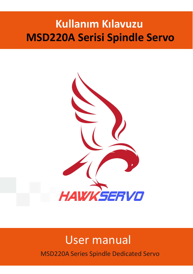# **Kullanım Kılavuzu MSD220A Serisi Spindle Servo**



# User manual

MSD220A Series Spindle Dedicated Servo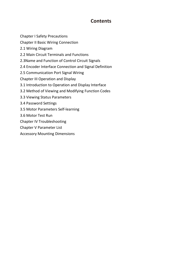# **Contents**

Chapter I Safety Precautions Chapter II Basic Wiring Connection 2.1 Wiring Diagram 2.2 Main Circuit Terminals and Functions 2.3Name and Function of Control Circuit Signals 2.4 Encoder Interface Connection and Signal Definition 2.5 Communication Port Signal Wiring Chapter III Operation and Display 3.1 Introduction to Operation and Display Interface 3.2 Method of Viewing and Modifying Function Codes 3.3 Viewing Status Parameters 3.4 Password Settings 3.5 Motor Parameters Self-learning 3.6 Motor Test Run Chapter IV Troubleshooting Chapter V Parameter List Accessory Mounting Dimensions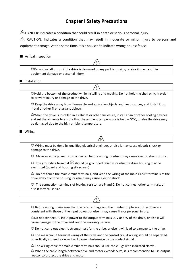# **Chapter I Safety Precautions**

 $\triangle$  DANGER: Indicates a condition that could result in death or serious personal injury.

 $\triangle$  CAUTION: Indicates a condition that may result in moderate or minor injury to persons and equipment damage. At the same time, it is also used to indicate wrong or unsafe use.

#### ■ Arrival Inspection

◎Do not install or run if the drive is damaged or any part is missing, or else it may result in equipment damage or personal injury.

#### ■ Installation

◎Hold the bottom of the product while installing and moving. Do not hold the shell only, in order to prevent injury or damage to the drive.

◎ Keep the drive away from flammable and explosive objects and heat sources, and install it on metal or other fire retardant objects.

◎When the drive is installed in a cabinet or other enclosure, install a fan or other cooling devices and set the air vents to ensure that the ambient temperature is below 40°C, or else the drive may be damaged due to the high ambient temperature.

#### ■ Wiring

◎ Wiring must be done by qualified electrical engineer, or else it may cause electric shock or damage to the drive.

◎ Make sure the poweris disconnected before wiring, or else it may cause electric shock or fire.

 $\circledcirc$  The grounding terminal  $\circledcirc$  should be grounded reliably, or else the drive housing may be electrified (board and housing silk screen)

◎ Do not touch the main circuit terminals, and keep the wiring of the main circuit terminals of the drive away from the housing, or else it may cause electric shock.

◎ The connection terminals of braking resistor are P and C. Do not connect other terminals, or else it may cause fire.

◎ Before wiring, make sure that the rated voltage and the number of phases of the drive are consistent with those of the input power, or else it may cause fire or personal injury. ◎Do not connect AC input power to the output terminals U, V and W of the drive, or else it will cause damage to the drive and void the warranty service. ◎ Do not carry out electric strength test for the drive, or else it will lead to damage to the drive. ◎ The main circuit terminal wiring of the drive and the control circuit wiring should be separated

or vertically crossed, or else it will cause interference to the control signal.

◎ The wiring cable for main circuit terminals should use cable lugs with insulated sleeve.

◎ When the cable length between drive and motor exceeds 50m, it is recommended to use output reactor to protect the drive and motor.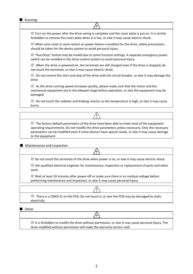■ Running

 $\odot$  Turn on the power after the drive wiring is complete and the cover plate is put on. It is strictly forbidden to remove the cover plate when it is live, or else it may cause electric shock.

4

 $\odot$  When auto reset or auto-restart on power failure is enabled for the drive, safety precautions should be taken for the device system to avoid personal injury.

◎ "Run/Stop" button may be invalid due to some function settings. A separate emergency power switch can be installed in the drive control system to avoid personal injury.

◎ When the drive is powered on, the terminals are still charged even if the drive is stopped; do not touch the terminals, or else it may cause electric shock.

◎ Do not control the start and stop of the drive with the circuit breaker, or else it may damage the drive.

◎ As the drive running speed increases quickly, please make sure that the motor and the mechanical equipment are in the allowed range before operation, or else the equipment may be damaged.

◎ Do not touch the radiator and braking resistor as the temperature is high, or else it may cause burns.

◎ The factory default parameters of the drive have been able to meet most of the equipment operating requirements. Do not modify the drive parameters unless necessary. Only the necessary parameters can be modified even if some devices have special needs, or else it may cause damage to the equipment.

■ Maintenance and inspection

◎ Do not touch the terminals of the drive when power is on,or else it may cause electric shock.

◎ Ask qualified electrical engineer for maintenance, inspection or replacement of parts and other work.

 $\odot$  Wait at least 10 minutes after power-off or make sure there is no residual voltage before performing maintenance and inspection, or else it may cause personal injury.

◎ There is a CMOS IC on the PCB. Do not touch it,or else the PCB may be damaged by static electricity.

■ Other

◎ It is forbidden to modify the drive without permission, or else it may cause personal injury. The drive modified without permission will make the warranty service void.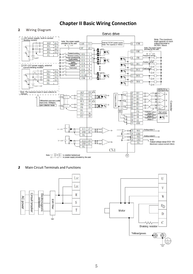# **Chapter II Basic Wiring Connection**



2. Main Circuit Terminals and Functions



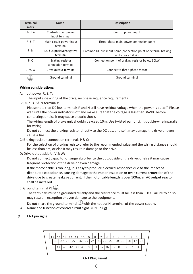| <b>Terminal</b><br>mark | <b>Name</b>                                    | <b>Description</b>                                                                  |
|-------------------------|------------------------------------------------|-------------------------------------------------------------------------------------|
| L1c, L2c                | Control circuit power<br>input terminal        | Control power input                                                                 |
| R, S, T                 | Main circuit power input<br>terminal           | Three-phase main power connection point                                             |
| P, N                    | DC bus positive/negative<br>terminal           | Common DC bus input point (connection point of external braking<br>unit above 37kW) |
| P, C                    | <b>Braking resistor</b><br>connection terminal | Connection point of braking resistor below 30kW                                     |
| <b>U, V, W</b>          | Drive output terminal                          | Connect to three-phase motor                                                        |
|                         | Ground terminal                                | Ground terminal                                                                     |

#### **Wiring considerations:**

A: Input power R, S,T:

The input side wiring of the drive, no phase sequence requirements

B: DC bus P & N terminals:

Please note that DC bus terminals P and N still have residual voltage when the power is cut off. Please wait until the powerindicator is off and make sure that the voltage is less than 36VDC before contacting, or else it may cause electric shock.

The wiring length of brake unit shouldn't exceed 10m. Use twisted pair or tight double-wire inparallel for wiring.

Do not connect the braking resistor directly to the DC bus, or else it may damage the drive or even cause a fire.

C: Braking resistor connection terminals P & C:

For the selection of braking resistor, refer to the recommended value and the wiring distance should be less than 5m, or else it may result in damage to the drive.

D: Drive output side U, V & W:

Do not connect capacitor or surge absorber to the output side of the drive, or else it may cause frequent protection of the drive or even damage.

If the motor cable is too long, it is easy to produce electrical resonance due to the impact of distributed capacitance, causing damage to the motor insulation or over-current protection of the drive due to greater leakage current. If the motorcable length is over 100m, an AC output reactor shall be installed.

# E: Ground terminal PF $\Box$ .

The terminals must be grounded reliably and the resistance must be less than 0.1 $\Omega$ . Failure to do so may result in exception or even damage to the equipment.

Do not share the ground terminal  $\bigcup$  with the neutral N terminal of the power supply.

- 2 Name and function of control circuit signal (CN1 plug)
- (1) CN1 pin signal



CN1 Plug Pinout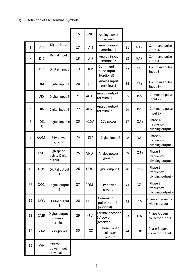|             |                 | Definition of CN1 terminal symbols    |    |                 |                                           |    |       |                                           |
|-------------|-----------------|---------------------------------------|----|-----------------|-------------------------------------------|----|-------|-------------------------------------------|
|             |                 |                                       | 16 | <b>GND</b>      | Analog power<br>ground                    |    |       |                                           |
| $\mathbf 1$ | D11             | Digital input 1                       | 17 | AI              | Analog input<br>terminal 1                | 31 | PA-   | Command pulse<br>input A-                 |
| 2           | D <sub>12</sub> | Digital input 2                       | 18 | AI <sub>2</sub> | Analog input<br>terminal 2                | 32 | PA+   | Command pulse<br>input A+                 |
| 3           | DI3             | Digital input 3                       | 19 | OCP             | Command<br>pulse input<br>1(optional)     | 33 | PB-   | Command pulse<br>input B-                 |
| 4           | DI4             | Digital input 4                       | 20 | AI3             | Analog input<br>terminal 3                | 34 | PB+   | Command pulse<br>input B+                 |
| 5           | DI5             | Digital input 5                       | 21 | AO1             | Analog output<br>terminal 1               | 35 | PZ-   | Command pulse<br>input Z-                 |
| 6           | DI6             | Digital input 6                       | 22 | AO <sub>2</sub> | Analog output<br>terminal 2               | 36 | $PZ+$ | Command pulse<br>input Z+                 |
| 7           | DI1<br>0        | Digital input 10                      | 23 | $+10V$          | 10V power                                 | 37 | OA+   | Phase A<br>frequency<br>dividing output + |
| 8           | COM             | 24V power<br>ground                   | 24 | DI7             | Digital input 7                           | 38 | OA-   | Phase A<br>frequency<br>dividing output - |
| 9           | <b>FM</b>       | High speed<br>pulse/Digital<br>output | 25 | GND             | Analog power<br>ground                    | 39 | OB+   | Phase B<br>frequency<br>dividing output + |
| 10          | DO1             | Digital output<br>$\mathbf{1}$        | 26 | DO <sub>4</sub> | Digital output 4                          | 40 | OB-   | Phase B<br>frequency<br>dividing output - |
| 11          | DO <sub>2</sub> | Digital output<br>2                   | 27 | COM             | 24V power<br>ground                       | 41 | OZ+   | Phase Z<br>frequency<br>dividing output + |
| 12          | DO <sub>3</sub> | Digital output<br>3                   | 28 | <b>OCS</b>      | Command<br>pulse input 2<br>(optional)    | 42 | OZ-   | Phase Z frequency<br>dividing output -    |
| 13          | CME             | Digital output<br>common<br>terminal  | 29 | $+5V$           | Eternal encoder<br>5V power<br>(reserved) | 43 | OA    | Phase A open<br>collector output          |
| 14          | <b>24V</b>      | 24V power                             | 30 | OZ              | Phase Z open<br>collector<br>output       | 44 | OB    | Phase B open<br>collector output          |
| 15          | <b>OP</b>       | External<br>power input<br>terminal   |    |                 |                                           |    |       |                                           |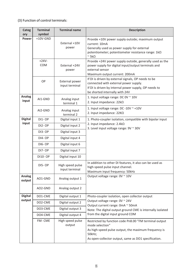(3) Function of control terminals:

| Categ<br>ory     | <b>Terminal</b><br>symbol | <b>Terminal name</b>               | <b>Description</b>                                                                                                                                                                                  |
|------------------|---------------------------|------------------------------------|-----------------------------------------------------------------------------------------------------------------------------------------------------------------------------------------------------|
| Power            | $+10V$ -GND               | External +10V<br>power             | Provide +10V power supply outside; maximum output<br>current: 10mA<br>Generally used as power supply for external<br>potentiometer; potentiometer resistance range: 1kΩ<br>$\sim$ 5k $\Omega$       |
|                  | $+24V -$<br>COM           | External +24V<br>power             | Provide +24V power supply outside, generally used as the<br>power supply for digital input/output terminals and<br>external sensor<br>Maximum output current: 200mA                                 |
|                  | OP                        | External power<br>input terminal   | If DI is driven by external signals, OP needs to be<br>connected with external power supply.<br>If DI is driven by internal power supply, OP needs to<br>be shorted internally with 24V             |
| Analog<br>input  | AI1-GND                   | Analog input<br>terminal 1         | 1. Input voltage range: DC 0V ~ 10V<br>2. Input impedance: $22k\Omega$                                                                                                                              |
|                  | AI2-GND                   | Analog input<br>terminal 2         | 1. Input voltage range: DC -10V $\sim$ +10V<br>2. Input impedance: $22K\Omega$                                                                                                                      |
| Digital          | <b>DI1- OP</b>            | Digital input 1                    | 1. Photo-coupler isolation, compatible with bipolar input                                                                                                                                           |
| input            | DI2-OP                    | Digital input 2                    | 2. Input impedance: $2.4k\Omega$<br>3. Level input voltage range: 9V ~ 30V                                                                                                                          |
|                  | DI3-OP                    | Digital input 3                    |                                                                                                                                                                                                     |
|                  | DI4-OP                    | Digital input 4                    |                                                                                                                                                                                                     |
|                  | <b>DI6- OP</b>            | Digital input 6                    |                                                                                                                                                                                                     |
|                  | <b>DI7- OP</b>            | Digital input 7                    |                                                                                                                                                                                                     |
|                  | DI10- OP                  | Digital input 10                   |                                                                                                                                                                                                     |
|                  | <b>DI5-OP</b>             | High speed pulse<br>input terminal | In addition to other DI features, it also can be used as<br>high-speed pulse input channel.<br>Maximum input frequency: 50kHz                                                                       |
| Analog<br>output | AO1-GND                   | Analog output 1                    | Output voltage range: 0V ~ 10V                                                                                                                                                                      |
|                  | AO2-GND                   | Analog output 2                    |                                                                                                                                                                                                     |
| Digital          | DO1-CME                   | Digital output 1                   | Photo-coupler isolation, open collector output                                                                                                                                                      |
| output           | DO2-CME                   | Digital output 2                   | Output voltage range: 0V ~ 24V<br>Output current range: 0mA ~ 50mA                                                                                                                                  |
|                  | DO3-CME                   | Digital output 3                   | Note: The digital output ground CME is internally isolated                                                                                                                                          |
|                  | DO4-CME                   | Digital output 4                   | from the digital input ground COM                                                                                                                                                                   |
|                  | FM-CME                    | High speed pulse<br>output         | Restricted by function code Pn8.00 "FM terminal output<br>mode selection"<br>As high-speed pulse output, the maximum frequency is<br>50kHz;<br>As open-collector output, same as DO1 specification. |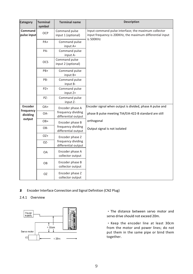| Category               | <b>Terminal</b><br>symbol | <b>Terminal name</b>                      | <b>Description</b>                                                                                                |
|------------------------|---------------------------|-------------------------------------------|-------------------------------------------------------------------------------------------------------------------|
| Command<br>pulse input | <b>OCP</b>                | Command pulse<br>input 1 (optional)       | Input command pulse interface; the maximum collector<br>input frequency is 200KHz, the maximum differential input |
|                        | $PA+$                     | Command pulse<br>input A+                 | is 500KHz                                                                                                         |
|                        | PA-                       | Command pulse<br>input A-                 |                                                                                                                   |
|                        | <b>OCS</b>                | Command pulse<br>input 2 (optional)       |                                                                                                                   |
|                        | PB+                       | Command pulse<br>input $B+$               |                                                                                                                   |
|                        | PB-                       | Command pulse<br>input B-                 |                                                                                                                   |
|                        | PZ+                       | Command pulse<br>input Z+                 |                                                                                                                   |
|                        | PZ-                       | Command pulse<br>input Z-                 |                                                                                                                   |
| Encoder<br>frequency   | OA+                       | Encoder phase A                           | Encoder signal when output is divided, phase A pulse and                                                          |
| dividing<br>output     | OA-                       | frequency dividing<br>differential output | phase B pulse meeting TIA/EIA-422-B standard are still                                                            |
|                        | OB+                       | Encoder phase B                           | orthogonal                                                                                                        |
|                        | OB-                       | frequency dividing<br>differential output | Output signal is not isolated                                                                                     |
|                        | OZ+                       | Encoder phase Z                           |                                                                                                                   |
|                        | OZ-                       | frequency dividing<br>differential output |                                                                                                                   |
|                        | <b>OA</b>                 | Encoder phase A<br>collector output       |                                                                                                                   |
|                        | OB                        | Encoder phase B<br>collector output       |                                                                                                                   |
|                        | OZ.                       | Encoder phase Z<br>collector output       |                                                                                                                   |

2.4. Encoder Interface Connection and Signal Definition (CN2 Plug)

# 2.4.1 Overview



· The distance between servo motor and servo drive should not exceed 20m.

· Keep the encoder line at least 30cm from the motor and power lines; do not put them in the same pipe or bind them together.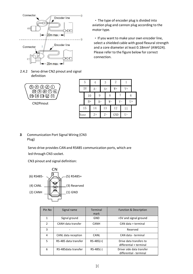

2.4.2 Servo drive CN2 pinout and signal definition

60000  $(0, 0, 0, 0, 0)$ ദ്ര 14 ദ 12 CN2Pinout

|      | 5    | $_{4}$ | 3  |       | 2   |       |       |  |
|------|------|--------|----|-------|-----|-------|-------|--|
|      | 5V   | $A-$   |    | A+    | W+  |       | V+    |  |
|      | 10   | 9      |    | 8     |     |       | 6     |  |
|      | $B+$ | $B-$   |    | $W -$ |     | $V -$ | $U^+$ |  |
|      | 15   | 14     | 13 |       | 12  |       | 11    |  |
| None |      | $Z+$   |    | $Z-$  | GND |       | U-    |  |

2.5. Communication Port Signal Wiring (CN3 Plug)

> Servo drive provides CAN and RS485 communication ports, which are led through CN3 socket.

CN3 pinout and signal definition:



| Pin No        | Signal name          | Terminal<br>mark | <b>Function &amp; Description</b>                    |
|---------------|----------------------|------------------|------------------------------------------------------|
|               | Signal ground        | GND              | +5V and signal ground                                |
| $\mathcal{P}$ | CANH data transfer   | <b>CANH</b>      | CAN data + terminal                                  |
| 3             |                      |                  | Reserved                                             |
| 4             | CANL data reception  | CANL             | CAN data - terminal                                  |
| 5             | RS-485 data transfer | $RS-485(+)$      | Drive data transfers to<br>differential + terminal   |
| 6             | RS-485data transfer  | $RS-485(-)$      | Driver side data transfer<br>differential - terminal |

· The type of encoder plug is divided into aviation plug and cannon plug according to the motor type.

• If you want to make your own encoder line,<br>select a shielded cable with good flexural strength and a core diameter at least 0.18mm<sup>2</sup> (AWG24). Please refer to the figure below for correct connection.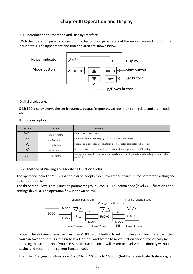# **Chapter III Operation and Display**

# 3.1 Introduction to Operation and Display Interface

With the operation panel, you can modify the function parameters of the servo drive and monitor the drive status. The appearance and function area are shown below:



Digital display area:

5-bit LED displayshows the set frequency, output frequency, various monitoring data and alarm code, etc.

Button description:

| <b>Button</b> | <b>Name</b>    | <b>Function</b>                                                                                                 |
|---------------|----------------|-----------------------------------------------------------------------------------------------------------------|
| <b>MODE</b>   | Program button | Enter or exit level-1 menu                                                                                      |
| <b>SET</b>    | Confirm button | Enter the menu screen step by step, confirm set parameters                                                      |
|               | Up button      | Increase data or function code, start button of motor parameter self-learning                                   |
|               | Down button    | Decrease data or function code, stop button of motor parameter self-learning                                    |
| <b>SHIFT</b>  | Shift button   | Display parameters in cycle in the stop interface and running interface; select the parameter to be<br>modified |

# 3.2 Method of Viewing and Modifying Function Codes

The operation panel of MSD200A servo drive adopts three-level menu structure for parameter setting and other operations.

The three menu levels are: Function parameter group (level 1)  $\rightarrow$  function code (level 2)  $\rightarrow$  function code settings (level 3). The operation flow is shown below.



Note: In level-3 menu, you can press the MODE or SET button to return to level-2. The difference is that you can save the settings, return to level-2 menu and switch to next function code automatically by pressing the SET button; if you press the MODE button, it will return to level-2 menu directly without saving and return to the current function code.

Example: Changing function code Pn2.03 from 10.00Hz to 15.00Hz (bold letters indicate flashing digits)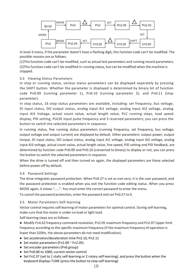

In level-3 menu, if the parameter doesn't have a flashing digit, this function code can't be modified. The possible reasons are as follows:

(1)Thisfunction code can't be modified, such as actual test parameters and running record parameters. (2)Thisfunction code can't be modified in running status, but can be modified when the machine is stopped.

## 3.3 Viewing Status Parameters

In stop or running status, various status parameters can be displayed separately by pressing the SHIFT button. Whether the parameter is displayed is determined bybinary bit of function code Pn0.09 (running parameter 1), Pn0.10 (running parameter 2), and Pn0.11 (stop parameter).

In stop status, 16 stop status parameters are available, including: set frequency, bus voltage, DI input status, DO output status, analog input AI1 voltage, analog input AI2 voltage, analog input AI3 Voltage, actual count value, actual length value, PLC running steps, load speed display, PID setting, PULSE input pulse frequency and 3 reserved parameters; you can press the button to switch the selected parameters in sequence.

In running status, five running status parameters (running frequency, set frequency, bus voltage, output voltage and output current) are displayed by default. Other parameters: output power, output torque, DI input status, DO output status, analog input AI1 voltage, analog input AI2 voltage, analog input AI3 voltage, actual count value, actual length value, line speed, PID setting and PID feedback, are determined by function code Pn0.09 and Pn0.10 (converted to binary) to display or not; you can press the button to switch the selected parameters in sequence.

When the drive is turned off and then turned on again, the displayed parameters are those selected before power-off by default.

## 3.4 Password Settings

The drive integrates password protection. When Pn0.27 is set as non-zero, it is the user password, and the password protection is enabled when you exit the function code editing status. When you press MODE again, it shows ".....". You must enter the correct password to enter the menu.

To cancel the password protection, enter the password and set Pn0.27 to 0.

## 3.5 Motor Parameters Self-learning

Vector control requires self-learning of motor parameters for optimal control. During self-learning, make sure that the motor is under no load or light load.

Self-learning steps are as follows:

● Modify Fn4.62 frequency command resolution, Pn2.05 maximum frequency and Pn2.07 Upper limit frequency according to the specific maximum frequency (if the maximum frequency of operation is lower than 320Hz, the above parameters do not need modification).

- Set acceleration/deceleration time Pn2.10, Pn2.11
- $\bullet$  Set motor parameters (Fn2.00  $\sim$  Fn2.05)
- Set encoder parameters (Pn6 group)
- Set Pn0.00 to 1000, current vector control
- Set Fn2.37 (set to 1 static self-learning or 2 rotary self-learning), and press the button when the keyboard displays TUNE (press the button to stop self-learning)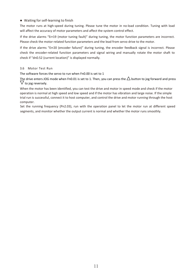#### ● Waiting for self-learning to finish

The motor runs at high-speed during tuning. Please tune the motor in no-load condition. Tuning with load will affect the accuracy of motor parameters and affect the system control effect.

If the drive alarms "Err19 (motor tuning fault)" during tuning, the motor function parameters are incorrect. Please check the motor-related function parameters and the lead from servo drive to the motor.

If the drive alarms "Err20 (encoder failure)" during tuning, the encoder feedback signal is incorrect. Please check the encoder-related function parameters and signal wiring and manually rotate the motor shaft to check if "dn0.52 (current location)" is displayed normally.

#### 3.6 Motor Test Run

The software forces the servo to run when Fn0.00 is set to 1

The drive enters JOG mode when Fn0.01 is set to 1. Then, you can press the  $\Delta$  button to jog forward and press<br> $\nabla$  to jog reversely.

When the motor has been identified, you can test the drive and motor in speed mode and check if the motor operation is normal at high speed and low speed and if the motor has vibration and large noise. If the simple trial run is successful, connect it to host computer, and control the drive and motor running through the host computer.

Set the running frequency (Pn2.03), run with the operation panel to let the motor run at different speed segments, and monitor whether the output current is normal and whether the motor runs smoothly.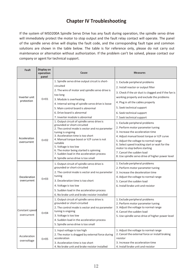# **Chapter IV Troubleshooting**

If the system of MSD200A Spindle Servo Drive has any fault during operation, the spindle servo drive will immediately protect the motor to stop output and the fault relay contact will operate. The panel of the spindle servo drive will display the fault code, and the corresponding fault type and common solutions are shown in the table below. The table is for reference only, please do not carry out maintenance or alternation without authorization. If the problem can't be solved, please contact our company or agent for technical support.

| Fault                         | Display on<br>operation<br>panel | Cause                                                                                                                                                                                                                                                                                                                                                                                                                                                                    | <b>Measures</b>                                                                                                                                                                                                                                                                                                                                                                                                               |
|-------------------------------|----------------------------------|--------------------------------------------------------------------------------------------------------------------------------------------------------------------------------------------------------------------------------------------------------------------------------------------------------------------------------------------------------------------------------------------------------------------------------------------------------------------------|-------------------------------------------------------------------------------------------------------------------------------------------------------------------------------------------------------------------------------------------------------------------------------------------------------------------------------------------------------------------------------------------------------------------------------|
| Inverter unit<br>protection   | Err01                            | 1. Spindle servo drive output circuit is short-<br>circuited<br>2. The wire of motor and spindle servo drive is<br>too long<br>3. Module is overheating<br>4. Internal wiring of spindle servo drive is loose<br>5. Main control board is abnormal                                                                                                                                                                                                                       | 1. Exclude peripheral problems<br>2. Install reactor or output filter<br>3. Check if the air duct is clogged and if the fan is<br>working properly and exclude the problems<br>4. Plug in all the cables properly<br>5. Seek technical support                                                                                                                                                                                |
| Acceleration<br>overcurrent   | ErrO2                            | 6. Drive board is abnormal<br>7. Inverter module is abnormal<br>1. Output circuit of spindle servo drive is<br>grounded or short-circuited<br>2. The control mode is vector and no parameter<br>tuning is ongoing<br>3. Acceleration time is too short<br>4. Manual torque boost or V/F curve is not<br>suitable<br>5. Voltage is too low<br>6. The motor being started is spinning<br>7. Sudden load in the acceleration process<br>8. Spindle servo drive is too small | 6. Seek technical support<br>7. Seek technical support<br>1. Exclude peripheral problems<br>2. Perform motor parameter tuning<br>3. Increase the acceleration time<br>4. Adjust manual boost torque or V/F curve<br>5. Adjust the voltage to normal range<br>6. Select speed tracking start or wait for the<br>motor to stop before starting<br>7. Cancel the sudden load<br>8. Use spindle servo drive of higher power level |
| Deceleration<br>overcurrent   | Err03                            | 1. Output circuit of spindle servo drive is<br>grounded or short-circuited<br>2. The control mode is vector and no parameter<br>tuning<br>3. Deceleration time is too short<br>4. Voltage is too low<br>5. Sudden load in the acceleration process<br>6. No brake unit and brake resistor installed                                                                                                                                                                      | 1. Exclude peripheral problems<br>2. Perform motor parameter tuning<br>3. Increase the deceleration time<br>4. Adjust the voltage to normal range<br>5. Cancel the sudden load<br>6. Install brake unit and resistor                                                                                                                                                                                                          |
| Constant speed<br>overcurrent | Err04                            | 1. Output circuit of spindle servo drive is<br>grounded or short-circuited<br>2. The control mode is vector and no parameter<br>tuning is ongoing<br>3. Voltage is too low<br>4. Sudden load in the acceleration process<br>5. Spindle servo drive is too small                                                                                                                                                                                                          | 1. Exclude peripheral problems<br>2. Perform motor parameter tuning<br>3. Adjust the voltage to normal range<br>4. Cancel the sudden load<br>5. Use spindle servo drive of higher power level                                                                                                                                                                                                                                 |
| Acceleration<br>overvoltage   | Err05                            | 1. Input voltage is too high<br>2. The motor is dragged by external force during<br>acceleration<br>3. Acceleration time is too short<br>4. No brake unit and brake resistor installed                                                                                                                                                                                                                                                                                   | 1. Adjust the voltage to normal range<br>2. Cancel the external force or install braking<br>resistor<br>3. Increase the acceleration time<br>4. Install brake unit and resistor                                                                                                                                                                                                                                               |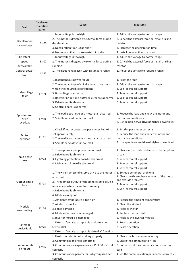| Fault                              | Display on<br>operation<br>panel | Cause                                                                                                                                                                                                                                                                          | <b>Measures</b>                                                                                                                                                                 |
|------------------------------------|----------------------------------|--------------------------------------------------------------------------------------------------------------------------------------------------------------------------------------------------------------------------------------------------------------------------------|---------------------------------------------------------------------------------------------------------------------------------------------------------------------------------|
| Deceleration<br>overvoltage        | Err06                            | 1. Input voltage is too high<br>2. The motor is dragged by external force during<br>deceleration<br>3. Deceleration time is too short<br>4. No brake unit and brake resistor installed                                                                                         | 1. Adjust the voltage to normal range<br>2. Cancel the external force or install braking<br>resistor<br>3. Increase the deceleration time<br>4. Install brake unit and resistor |
| Constant<br>speed<br>overvoltage   | Err07                            | 1. Input voltage is too high<br>2. The motor is dragged by external force during<br>running                                                                                                                                                                                    | 1. Adjust the voltage to normal range<br>2. Cancel the external force or install braking<br>resistor                                                                            |
| Control power<br>fault             | Err08                            | 1. The input voltage isn't within standard range                                                                                                                                                                                                                               | 1. Adjust the voltage to required range                                                                                                                                         |
| Undervoltage<br>fault              | Err09                            | 1. Instantaneous power failure<br>2. The input voltage of spindle servo drive is not<br>within the required specifications<br>3. Bus voltage is abnormal<br>4. Rectifier bridge and buffer resistor are abnormal<br>5. Drive board is abnormal<br>6. Control board is abnormal | 1. Reset the fault<br>2. Adjust the voltage to normal range<br>3. Seek technical support<br>4. Seek technical support<br>5. Seek technical support<br>6. Seek technical support |
| Spindle servo<br>drive<br>overload | Err10                            | 1. The load is too large or a motor stall occurred<br>2. Spindle servo drive is too small                                                                                                                                                                                      | 1. Reduce the load and check the motor and<br>mechanical conditions<br>2. Use spindle servo drive of higher power level                                                         |
| Motor<br>overload                  | Err11                            | 1. Check if motor protection parameter PnC.01 is<br>set appropriately<br>2. The load is too large or a motor stall occurred<br>3. Spindle servo drive is too small                                                                                                             | 1. Set this parameter correctly<br>2. Reduce the load and check the motor and<br>mechanical conditions<br>3. Use spindle servo drive of higher power level                      |
| Input phase<br>loss                | Err12                            | 1. Three-phase input power is abnormal<br>2. Drive board is abnormal<br>3. Lightning protection board is abnormal<br>4. Main control board is abnormal                                                                                                                         | 1. Check and exclude problems in the peripheral<br>circuit<br>2. Seek technical support<br>3. Seek technical support<br>4. Seek technical support                               |
| Output phase<br>loss               | Err13                            | 1. The wire from spindle servo drive to the motor is<br>abnormal<br>2. Three-phase output of the spindle servo drive is<br>unbalanced when the motor is running<br>3. Drive board is abnormal<br>4. Module exception                                                           | 1. Exclude peripheral problems<br>2. Check the three-phase winding of the motor<br>and exclude problems<br>3. Seek technical support<br>4. Seek technical support               |
| Module<br>overheating              | Err14                            | 1. Ambient temperature is too high<br>2. Air duct is blocked<br>3. Fan is damaged<br>4. Module thermistor is damaged<br>5. Inverter module is damaged                                                                                                                          | 1. Reduce the ambient temperature<br>2. Clean the air duct<br>3. Replace the fan<br>4. Replace the thermistor<br>5. Replace the inverter module                                 |
| External<br>device fault           | Err15                            | 1. External fault signal input via multi-function<br>terminal DI<br>2. External fault signal input via virtual IO function                                                                                                                                                     | 1. Reset operation<br>2. Reset operation                                                                                                                                        |
| Communicati<br>on failure          | Err16                            | 1. Host computer is not working properly<br>2. Communication line is abnormal<br>3. Communication expansion card PnA.00 isn't set<br>correctly<br>3. Communication parameter PnA group isn't set<br>correctly                                                                  | 1. Check the host computer wiring<br>2. Check the communication line<br>3. Correctly set the communication expansion<br>card<br>4. Set the communication parameters correctly   |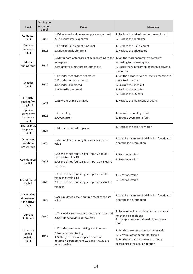| Fault                                             | Display on<br>operation<br>panel | Cause                                                                                                                                                                           | <b>Measures</b>                                                                                                                                              |
|---------------------------------------------------|----------------------------------|---------------------------------------------------------------------------------------------------------------------------------------------------------------------------------|--------------------------------------------------------------------------------------------------------------------------------------------------------------|
| Contactor<br>fault                                | Err17                            | 1. Drive board and power supply are abnormal<br>2. The contactor is abnormal                                                                                                    | 1. Replace the drive board or power board<br>2. Replace the contactor                                                                                        |
| Current<br>detection<br>fault                     | Err18                            | 1. Check if Hall element is normal<br>2. Drive board is abnormal                                                                                                                | 1. Replace the Hall element<br>2. Replace the drive board                                                                                                    |
| Motor<br>tuning fault                             | Err19                            | 1. Motor parameters are not set according to the<br>nameplate<br>2. Parameter tuning process timed out                                                                          | 1. Set the motor parameters correctly<br>according to the nameplate<br>2. Check the wire from spindle servo drive to<br>the motor                            |
| Encoder<br>fault                                  | Err20                            | 1. Encoder model does not match<br>2. Encoder connection error<br>3. Encoder is damaged<br>4. PG card is abnormal                                                               | 1. Set the encoder type correctly according to<br>the actual situation<br>2. Exclude the line fault<br>3. Replace the encoder<br>4. Replace the PG card      |
| EEPROM<br>reading/wri<br>ting fault               | Err21                            | 1. EEPROM chip is damaged                                                                                                                                                       | 1. Replace the main control board                                                                                                                            |
| Spindle<br>servo drive<br>hardware<br>fault       | Err22                            | 1. Overvoltage<br>2. Overcurrent                                                                                                                                                | 1. Exclude overvoltage fault<br>2. Exclude overcurrent fault                                                                                                 |
| Short circuit<br>to ground<br>fault               | Err23                            | 1. Motor is shorted to ground                                                                                                                                                   | 1. Replace the cable or motor                                                                                                                                |
| Cumulative<br>run-time<br>arrival fault           | Err26                            | 1. Accumulated running time reaches the set<br>value                                                                                                                            | 1. Use the parameter initialization function to<br>clear the log information                                                                                 |
| User defined<br>fault 1                           | Err27                            | 1. User-defined fault 1 signal input via multi-<br>function terminal DI<br>2. User-defined fault 1 signal input via virtual IO<br>function                                      | 1. Reset operation<br>2. Reset operation                                                                                                                     |
| User defined<br>fault 2                           | Err28                            | 1. User-defined fault 2 signal input via multi-<br>function terminal DI<br>2. User-defined fault 2 signal input via virtual IO<br>function                                      | 1. Reset operation<br>2. Reset operation                                                                                                                     |
| Accumulate<br>d power-on<br>time arrival<br>fault | Err29                            | 1. Accumulated power-on time reaches the set<br>value                                                                                                                           | 1. Use the parameter initialization function to<br>clear the log information                                                                                 |
| Current<br>limit fault                            | Err40                            | 1. The load is too large or a motor stall occurred<br>2. Spindle servo drive is too small                                                                                       | 1. Reduce the load and check the motor and<br>mechanical conditions<br>2. Use spindle servo drive of higher power<br>level                                   |
| Excessive<br>speed<br>deviation<br>fault          | Err42                            | 1. Encoder parameter setting is not correct<br>2. No parameter tuning<br>3. Settings of excessive speed deviation<br>detection parameters PnC.36 and PnC.37 are<br>unreasonable | 1. Set the encoder parameters correctly<br>2. Perform motor parameter tuning<br>3. Set the testing parameters correctly<br>according to the actual situation |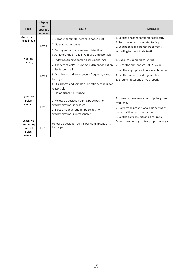| Fault                                                     | <b>Display</b><br>on<br>operatio<br>n panel | Cause                                                                                                                                                                                                                                                                                     | <b>Measures</b>                                                                                                                                                                                         |
|-----------------------------------------------------------|---------------------------------------------|-------------------------------------------------------------------------------------------------------------------------------------------------------------------------------------------------------------------------------------------------------------------------------------------|---------------------------------------------------------------------------------------------------------------------------------------------------------------------------------------------------------|
| Motor over<br>speed fault                                 | Err43                                       | 1. Encoder parameter setting is not correct<br>2. No parameter tuning<br>3. Settings of motor overspeed detection<br>parameters PnC.34 and PnC.35 are unreasonable                                                                                                                        | 1. Set the encoder parameters correctly<br>2. Perform motor parameter tuning<br>3. Set the testing parameters correctly<br>according to the actual situation                                            |
| Homing<br>missing                                         | Frr54                                       | 1. Index positioning home signal is abnormal<br>2. The setting of PnE.23 home judgment deviation<br>pulse is too small<br>3. DI as home and home search frequency is set<br>too high<br>4. DI as home and spindle drive ratio setting is not<br>reasonable<br>5. Home signal is disturbed | 1. Check the home signal wiring<br>2. Reset the appropriate PnE.23 value<br>3. Set the appropriate home search frequency<br>4. Set the correct spindle gear ratio<br>5. Ground motor and drive properly |
| Excessive<br>pulse<br>deviation                           | <b>Err55</b>                                | 1. Follow-up deviation during pulse position<br>synchronization is too large<br>2. Electronic gear ratio for pulse position<br>synchronization is unreasonable                                                                                                                            | 1. Increase the acceleration of pulse given<br>frequency<br>2. Correct the proportional gain setting of<br>pulse position synchronization<br>3. Set the correct electronic gear ratio                   |
| Excessive<br>positioning<br>control<br>pulse<br>deviation | Frr56                                       | Follow-up deviation during positioning control is<br>too large                                                                                                                                                                                                                            | Correct positioning control proportional gain                                                                                                                                                           |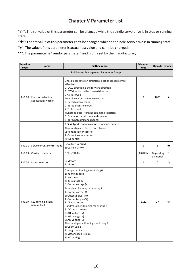# **Chapter V Parameter List**

" $\forall$ ": The set value of this parameter can be changed while the spindle servo drive is in stop or running state.

" $\star$ ": The set value of this parameter can't be changed while the spindle servo drive is in running state.

"●": The value of this parameter is actual test value and can't be changed;

"\*": The parameter is "vendor parameter" and is only set by the manufacturer;

| Function<br>code                      | Name                                       | <b>Setting range</b>                                                                                                                                                                                                                                                                                                                                                                                                                                                                                              | Minimum<br>unit | <b>Default</b>        | Change  |  |  |
|---------------------------------------|--------------------------------------------|-------------------------------------------------------------------------------------------------------------------------------------------------------------------------------------------------------------------------------------------------------------------------------------------------------------------------------------------------------------------------------------------------------------------------------------------------------------------------------------------------------------------|-----------------|-----------------------|---------|--|--|
| Pn0 System Management Parameter Group |                                            |                                                                                                                                                                                                                                                                                                                                                                                                                                                                                                                   |                 |                       |         |  |  |
| Pn0.00                                | Function selection<br>application switch 0 | Ones place: Rotation direction selection (speed control<br>effective)<br>0: CCW direction is the forward direction<br>1: CW direction is the forward direction<br>2~3: Reserved<br>Tens place: Control mode selection<br>0: Speed control mode<br>1: Torque control mode<br>2~6: Reserved<br>Hundreds place: Running command selection<br>0: Operation panel command channel<br>1: Terminal command channel                                                                                                       | $\mathbf{1}$    | 1000                  | ★       |  |  |
|                                       |                                            | 2: Serial port communication command channel<br>Thousands place: Servo control mode<br>0: Voltage vector control<br>1: Current vector control<br>2: V/F control                                                                                                                                                                                                                                                                                                                                                   |                 |                       |         |  |  |
| Pn0.01                                | Servo current control mode                 | 0: Voltage SVPWM<br>1: Current SPWM                                                                                                                                                                                                                                                                                                                                                                                                                                                                               | $\mathbf{1}$    | $\mathbf{1}$          | $\star$ |  |  |
| Pn0.03                                | Carrier frequency                          | 0.5kHz~16.0kHz                                                                                                                                                                                                                                                                                                                                                                                                                                                                                                    | $0.01$ kHz      | Depending<br>on model | ☆       |  |  |
| Pn0.04                                | Motor selection                            | 0: Motor 1<br>1: Motor 2                                                                                                                                                                                                                                                                                                                                                                                                                                                                                          | $\mathbf{1}$    | $\mathbf 0$           | ☆       |  |  |
| Pn0.09                                | LED running display<br>parameter 1         | Ones place: Running monitoring 0<br>1: Running speed<br>2: Set speed<br>4: Bus voltage (V)<br>8: Output voltage (V)<br>Tens place: Running monitoring 1<br>1: Output current (A)<br>2: Output power (kW)<br>4: Output torque (%)<br>8: DI input status<br>Hundreds place: Running monitoring 2<br>1: DO output status<br>2: AI1 voltage (V)<br>4: AI2 voltage (V)<br>8: AI3 voltage (V)<br>Thousands place: Running monitoring 4<br>1: Count value<br>2: Length value<br>4: Motor speed (r/min)<br>8: PID setting | 1111            | 17                    | ☆       |  |  |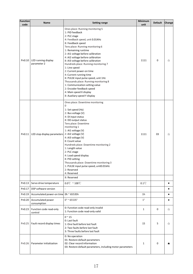| Function<br>code | Name                                  | <b>Setting range</b>                                                                                                                                                                                                                                                                                                                                                                                                                                                                                                                                                                                                              | Minimum<br>unit | <b>Default</b> | Change    |
|------------------|---------------------------------------|-----------------------------------------------------------------------------------------------------------------------------------------------------------------------------------------------------------------------------------------------------------------------------------------------------------------------------------------------------------------------------------------------------------------------------------------------------------------------------------------------------------------------------------------------------------------------------------------------------------------------------------|-----------------|----------------|-----------|
| Pn0.10           | LED running display<br>parameter 2    | Ones place: Running monitoring 5<br>1: PID feedback<br>2: PLC stage<br>4: Feedback speed, unit 0.01KHz<br>8: Feedback speed<br>Tens place: Running monitoring 6<br>1: Remaining runtime<br>2: AI1 voltage before calibration<br>4: AI2 voltage before calibration<br>8: AI3 voltage before calibration<br>Hundreds place: Running monitoring 7<br>1: Line speed<br>2: Current power-on time<br>4: Current running time<br>8: PULSE input pulse speed, unit 1Hz<br>Thousands place: Running monitoring 8<br>1: Communication setting value<br>2: Encoder feedback speed<br>4: Main speed X display<br>8: Auxiliary speed Y display | 1111            | $\mathbf{0}$   | ☆         |
| Pn0.11           | LED stop display parameters           | Ones place: Downtime monitoring<br>$\Omega$<br>1: Set speed (Hz)<br>2: Bus voltage (V)<br>4: DI input status<br>8: DO output status<br>Tens place: Downtime<br>monitoring 1<br>1: AI1 voltage (V)<br>2: AI2 voltage (V)<br>4: AI3 voltage (V)<br>8: Count value<br>Hundreds place: Downtime monitoring 2<br>1: Length value<br>2: PLC stage<br>4: Load speed display<br>8: PID setting<br>Thousands place: Downtime monitoring 3<br>1: PULSE input pulse speed, unit0.01kHz<br>2: Reserved<br>4: Reserved                                                                                                                         | 1111            | 03             | ☆         |
|                  |                                       | 8: Reserved                                                                                                                                                                                                                                                                                                                                                                                                                                                                                                                                                                                                                       |                 |                |           |
| Pn0.13           | Servo drive temperature               | $0.0^{\circ}\text{C} \sim 100^{\circ}\text{C}$                                                                                                                                                                                                                                                                                                                                                                                                                                                                                                                                                                                    | $0.1^{\circ}$   |                | $\bullet$ |
| Pn0.17           | DSP software version                  |                                                                                                                                                                                                                                                                                                                                                                                                                                                                                                                                                                                                                                   |                 |                | $\bullet$ |
| Pn0.19           | Accumulated power-on time 0h ~ 65535h |                                                                                                                                                                                                                                                                                                                                                                                                                                                                                                                                                                                                                                   | 1 <sub>h</sub>  |                | $\bullet$ |
| Pn0.20           | Accumulated power<br>consumption      | $0^{\circ}$ ~ 65535°                                                                                                                                                                                                                                                                                                                                                                                                                                                                                                                                                                                                              | $1^{\circ}$     |                | $\bullet$ |
| Pn0.23           | Function code read-only<br>control    | 0: Function code read-only invalid<br>1: Function code read-only valid                                                                                                                                                                                                                                                                                                                                                                                                                                                                                                                                                            | $\mathbf{1}$    | $\mathbf{0}$   | ☆         |
| Pn0.25           | Fault record display times            | $0 \sim 15$<br>0: Last fault<br>1: One fault before last fault<br>2: Two faults before last fault<br>3: Three faults before last fault                                                                                                                                                                                                                                                                                                                                                                                                                                                                                            | 15              | 5              | ☆         |
| Pn0.26           | Parameter initialization              | 0: No operation<br>01: Restore default parameters<br>02: Clear record information<br>03: Restore default parameters, including motor parameters                                                                                                                                                                                                                                                                                                                                                                                                                                                                                   | $1\,$           | 0              | *         |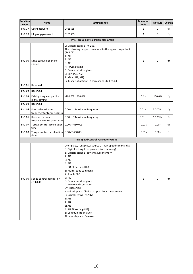| <b>Function</b><br>code                   | Name                                            | <b>Setting range</b>                                                                                                                                                                                                                                                                                                                                                                                                                                                                                                                         | Minimum<br>unit | <b>Default</b> | Change |
|-------------------------------------------|-------------------------------------------------|----------------------------------------------------------------------------------------------------------------------------------------------------------------------------------------------------------------------------------------------------------------------------------------------------------------------------------------------------------------------------------------------------------------------------------------------------------------------------------------------------------------------------------------------|-----------------|----------------|--------|
| Pn0.27                                    | User password                                   | $0^{\sim}65535$                                                                                                                                                                                                                                                                                                                                                                                                                                                                                                                              | $1\,$           | 0              | ☆      |
| Pn0.28                                    | UF group password                               | 0~65535                                                                                                                                                                                                                                                                                                                                                                                                                                                                                                                                      | $\mathbf{1}$    | $\mathbf 0$    | ☆      |
| <b>Pn1 Torque Control Parameter Group</b> |                                                 |                                                                                                                                                                                                                                                                                                                                                                                                                                                                                                                                              |                 |                |        |
| Pn1.00                                    | Drive torque upper limit<br>source              | 0: Digital setting 1 (Pn1.03)<br>The following ranges correspond to the upper torque limit<br>(Pin1.03)<br>1: A11<br>2:AI2<br>3: A13<br>4: PULSE setting<br>5: Communication given<br>6: MIN (AI1, AI2)<br>7: MAX (AI1, AI2)<br>Full range of option 1-7 corresponds to Pn1.03                                                                                                                                                                                                                                                               | $\mathbf{1}$    | $\mathbf 0$    | ★      |
| Pn1.01                                    | Reserved                                        |                                                                                                                                                                                                                                                                                                                                                                                                                                                                                                                                              |                 |                |        |
| Pn1.02                                    | Reserved                                        |                                                                                                                                                                                                                                                                                                                                                                                                                                                                                                                                              |                 |                |        |
| Pn1.03                                    | Driving torque upper limit<br>digital setting   | $-200.0\%$ ~ 200.0%                                                                                                                                                                                                                                                                                                                                                                                                                                                                                                                          | 0.1%            | 150.0%         | ☆      |
| Pn1.04                                    | Reserved                                        |                                                                                                                                                                                                                                                                                                                                                                                                                                                                                                                                              |                 |                |        |
| Pn1.05                                    | Forward maximum<br>frequency for torque contro  | 0.00Hz ~ Maximum frequency                                                                                                                                                                                                                                                                                                                                                                                                                                                                                                                   | $0.01$ Hz       | 50.00Hz        | ☆      |
| Pn1.06                                    | Reverse maximum<br>frequency for torque control | 0.00Hz ~ Maximum frequency                                                                                                                                                                                                                                                                                                                                                                                                                                                                                                                   | $0.01$ Hz       | 50.00Hz        | ☆      |
| Pn1.07                                    | Torque control acceleration<br>time             | $0.00s \approx 650.00s$                                                                                                                                                                                                                                                                                                                                                                                                                                                                                                                      | 0.01s           | 0.00s          | ☆      |
| Pn1.08                                    | Torque control deceleration<br>time             | $0.00s \approx 650.00s$                                                                                                                                                                                                                                                                                                                                                                                                                                                                                                                      | 0.01s           | 0.00s          | ☆      |
|                                           |                                                 | <b>Pn2 Speed Control Parameter Group</b>                                                                                                                                                                                                                                                                                                                                                                                                                                                                                                     |                 |                |        |
| Pn2.00                                    | Speed control application<br>switch 0           | Ones place, Tens place: Source of main speed command A<br>0: Digital setting 1 (no power failure memory)<br>1: Digital setting 2 (power failure memory)<br>2: A11<br>3:AI2<br>4:AI3<br>5: PULSE setting (DI5)<br>6: Multi-speed command<br>7: Simple PLC<br>8: PID<br>9: Communication given<br>A: Pulse synchronization<br>B~F: Reserved<br>Hundreds place: Choice of upper limit speed source<br>0: Digital setting (Pn2.07)<br>1: A11<br>2:AI2<br>3: A13<br>4: PULSE setting (DI5)<br>5: Communication given<br>Thousands place: Reserved | $\mathbf{1}$    | $\Omega$       | ★      |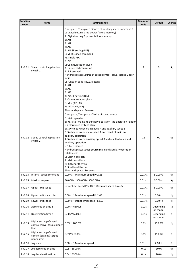| Function<br>code | <b>Name</b>                                                         | <b>Setting range</b>                                                                                                                                                                                                                                                                                                                                                                                                                                                                                                                                                                                                                | Minimum<br>unit | <b>Default</b>        | Change  |
|------------------|---------------------------------------------------------------------|-------------------------------------------------------------------------------------------------------------------------------------------------------------------------------------------------------------------------------------------------------------------------------------------------------------------------------------------------------------------------------------------------------------------------------------------------------------------------------------------------------------------------------------------------------------------------------------------------------------------------------------|-----------------|-----------------------|---------|
| Pn2.01           | Speed control application<br>switch 1                               | Ones place, Tens place: Source of auxiliary speed command B<br>0: Digital setting 1 (no power failure memory)<br>1: Digital setting 2 (power failure memory)<br>2: A11<br>3:AI2<br>4: AI3<br>5: PULSE setting (DI5)<br>6: Multi-speed command<br>7: Simple PLC<br>8: PID<br>9: Communication given<br>A: Pulse synchronization<br>B~F: Reserved<br>Hundreds place: Source of speed control (drive) torque upper<br>limit<br>0: Function code Pn2.13 setting<br>1:AI1<br>2:AI2<br>3: A13<br>4: PULSE setting (DI5)<br>5: Communication given<br>6: MIN (AI1, AI2)<br>7: MAX (AI1, AI2)<br>Thousands place: Reserved                  | $\mathbf{1}$    | $\mathbf 0$           | ★       |
| Pn2.02           | Speed control application<br>switch 2                               | Ones place, Tens place: Choice of speed source<br>0: Main speed A<br>1: Result of main and auxiliary operation (the operation relation<br>is determined by tens place)<br>2: Switch between main speed A and auxiliary speed B<br>3: Switch between main speed A and result of main and<br>auxiliary operation<br>4: Switch between auxiliary speed B and result of main and<br>auxiliary operation<br>$5 < 14$ : Reserved<br>Hundreds place: Speed source main and auxiliary operation<br>relationship<br>0: Main + auxiliary<br>1: Main - auxiliary<br>2: Bigger of the two<br>3: Smaller of the two<br>Thousands place: Reserved | 11              | 00                    | ☆       |
| Pn2.03           | Internal speed command                                              | 0.00Hz ~ Maximum speed Pn2.25                                                                                                                                                                                                                                                                                                                                                                                                                                                                                                                                                                                                       | $0.01$ Hz       | 50.00Hz               | ☆       |
| Pn2.05           | Maximum speed                                                       | 50.00Hz ~ 300.00Hz (3000.0Hz)                                                                                                                                                                                                                                                                                                                                                                                                                                                                                                                                                                                                       | $0.01$ Hz       | 50.00Hz               | $\star$ |
| Pn2.07           | Upper limit speed                                                   | Lower limit speed Pn2.09 ~ Maximum speed Pn2.05                                                                                                                                                                                                                                                                                                                                                                                                                                                                                                                                                                                     | $0.01$ Hz       | 50.00Hz               | ☆       |
| Pn2.08           | Upper limit speed bias                                              | 0.00Hz ~ Maximum speed Pn2.05                                                                                                                                                                                                                                                                                                                                                                                                                                                                                                                                                                                                       | $0.01$ Hz       | $0.00$ Hz             | ☆       |
| Pn2.09           | Lower limit speed                                                   | 0.00Hz ~ Upper limit speed Pn2.07                                                                                                                                                                                                                                                                                                                                                                                                                                                                                                                                                                                                   | $0.01$ Hz       | 0.00Hz                | ☆       |
| Pn2.10           | Acceleration time 1                                                 | $0.00s \approx 65000s$                                                                                                                                                                                                                                                                                                                                                                                                                                                                                                                                                                                                              | 0.01s           | Depending<br>on model | ☆       |
| Pn2.11           | Deceleration time 1                                                 | $0.00s \approx 65000s$                                                                                                                                                                                                                                                                                                                                                                                                                                                                                                                                                                                                              | 0.01s           | Depending<br>on model | ☆       |
| Pn2.13           | Digital setting of speed<br>control (drive) torque upper<br>limit   | $0.0\%$ ~ 200.0%                                                                                                                                                                                                                                                                                                                                                                                                                                                                                                                                                                                                                    | 0.1%            | 150.0%                | ☆       |
| Pn2.15           | Digital setting of speed<br>control (braking) torque<br>upper limit | $0.0\%$ ~ 200.0%                                                                                                                                                                                                                                                                                                                                                                                                                                                                                                                                                                                                                    | 0.1%            | 150.0%                | ☆       |
| Pn2.16           | Jog speed                                                           | 0.00Hz ~ Maximum speed                                                                                                                                                                                                                                                                                                                                                                                                                                                                                                                                                                                                              | $0.01$ Hz       | 2.00Hz                | ☆       |
| Pn2.17           | Jog acceleration time                                               | $0.0s \approx 6500.0s$                                                                                                                                                                                                                                                                                                                                                                                                                                                                                                                                                                                                              | 0.1s            | 20.0s                 | ☆       |
|                  | Pn2.18 Jog deceleration time                                        | $0.0s \approx 6500.0s$                                                                                                                                                                                                                                                                                                                                                                                                                                                                                                                                                                                                              | 0.1s            | 20.0s                 | ☆       |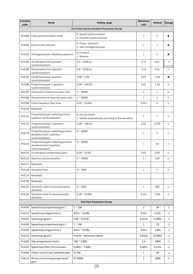| Function<br>code | Name                                                                                    | <b>Setting range</b>                                                   | Minimum<br>unit | <b>Default</b>      | Change |
|------------------|-----------------------------------------------------------------------------------------|------------------------------------------------------------------------|-----------------|---------------------|--------|
|                  |                                                                                         | Pn3 Pulse Synchronization Parameter Group                              |                 |                     |        |
| Pn3.00           | Pulse synchronization mode                                                              | 0: Speed synchronization<br>1: Position synchronization                | 1               | 0                   | ★      |
| Pn3.01           | Pulse mode selection                                                                    | 0: Pulse + direction<br>1: Two orthogonal pulses                       | $\mathbf{1}$    | 1                   | ★      |
| Pn3.02           | Orthogonal pulse AB phase sequence                                                      | 0: Forward<br>1: Reverse                                               | 1               | $\mathsf 0$         | *      |
| Pn3.03           | Acceleration time (position<br>synchronization)                                         | $0.0 \approx 6500.0s$                                                  | 0.1s            | 0.0s                | ☆      |
| Pn3.04           | Deceleration time (position<br>synchronization)                                         | $0.0 \approx 6500.0s$                                                  | 0.1s            | 0.0s                | ☆      |
| Pn3.05           | Feedforward gain (position<br>synchronization)                                          | $0.00 \times 2.00$                                                     | 0.01            | 1.00                | ★      |
| Pn3.06           | Proportional gain 1 (position<br>synchronization)                                       | $0.00 \times 100.00$                                                   | 0.01            | 1.50                | ☆      |
| Pn3.07           | Numerator of electronic gear ratio                                                      | $1 - 30000$                                                            | $\mathbf{1}$    | 1                   | ☆      |
| Pn3.08           | Denominator of electronic gear ratio                                                    | $1 - 30000$                                                            | $\mathbf{1}$    | $\mathbf{1}$        | ☆      |
| Pn3.09           | Pulse frequency filter time                                                             | $0.00 \times 10.00s$                                                   | 0.01s           | $\mathsf{O}\xspace$ | ☆      |
| Pn3.10           | Reserved                                                                                |                                                                        |                 |                     |        |
| Pn3.11           | Proportional gain switching choice<br>(position synchronization)                        | 0: Do not switch<br>1: Switch automatically according to the deviation | 1               | 1                   | ☆      |
| Pn3.12           | Proportional gain 2 (position<br>synchronization)                                       | $0.00 \times 100.00$                                                   | 0.01            | 15.00               | ☆      |
| Pn3.13           | Proportional gain switching position<br>deviation level 1 (position<br>synchronization) | $0 - 30000$                                                            | 1               | 5                   | ☆      |
| Pn3.14           | Proportional gain switching position<br>deviation level 2 (position<br>synchronization) | $0 - 30000$                                                            | 1               | 50                  | ☆      |
| Pn3.15           | Acceleration compensation gain                                                          | $0.00 \times 10.00$                                                    | 0.01            | 0.00                | ☆      |
| Pn3.16           | Maximum pulse deviation                                                                 | $0^{\sim} 10000$                                                       | 1               | 500                 | ☆      |
| Pn3.17           | Reserved                                                                                |                                                                        |                 |                     |        |
| Pn3.18           | Deviation limit                                                                         | $0^{\sim} 1000$                                                        | $\mathbf{1}$    | $\mathsf{O}\xspace$ | ☆      |
| Pn3.19           | Reserved                                                                                |                                                                        |                 |                     |        |
| Pn3.20           | Reserved                                                                                |                                                                        |                 |                     |        |
| Pn3.21           | Detection value of excessive pulse<br>deviation                                         | $0^{\sim} 2000$                                                        | $\mathbf{1}$    | 600                 | ☆      |
| Pn3.22           | Detection time of excessive pulse<br>deviation                                          | $0.00 \times 10.00s$                                                   | 0.01s           | 1.00s               | ☆      |
|                  |                                                                                         | <b>Pn4 Gain Parameter Group</b>                                        |                 |                     |        |
| Pn4.00           | Speed loop proportional gain 1                                                          | $1^{\sim} 100$                                                         | 1               | 30                  | ☆      |
| Pn4.01           | Speed loop integral time 1                                                              | $0.01s \approx 10.00s$                                                 | 0.01s           | 0.50s               | ☆      |
| Pn4.02           | Switching speed 1                                                                       | $0.00 \, \text{m}$ Pn4.05                                              | $0.01$ Hz       | 5.00Hz              | ☆      |
| Pn4.03           | Speed loop proportional gain 2                                                          | $1~^\sim$ 100                                                          | 1               | 20                  | ☆      |
| Pn4.04           | Speed loop integral time 2                                                              | $0.01s \approx 10.00s$                                                 | 0.01s           | 1.00s               | ☆      |
| Pn4.05           | Switching speed 2                                                                       | Pn4.02 ~ Maximum speed                                                 | $0.01$ Hz       | 10.00Hz             | ☆      |
| Pn4.06           | Slip compensation factor                                                                | 50% ~ 200%                                                             | 1%              | 100%                | ☆      |
| Pn4.07           | Speed loop filter time constant                                                         | $0.000s \approx 1.000s$                                                | 0.001s          | 0.016s              | ☆      |
| Pn4.08           | Vector control over excitation gain                                                     | $0^{\sim}200$                                                          | $\mathbf{1}$    | 64                  | ☆      |
| Pn4.13           | M-axis current loop proportional<br>gain                                                | 0~20000                                                                | $\mathbf{1}$    | 2000                | ☆      |

20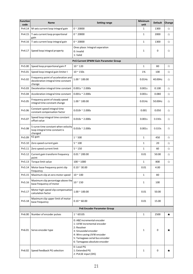| Function<br>code                      | Name                                                                                 | <b>Setting range</b>                                                                                                                                                                             | Minimum<br>unit | <b>Default</b> | Change |  |  |
|---------------------------------------|--------------------------------------------------------------------------------------|--------------------------------------------------------------------------------------------------------------------------------------------------------------------------------------------------|-----------------|----------------|--------|--|--|
| Pn4.14                                | M-axis current loop integral gain                                                    | $0 - 20000$                                                                                                                                                                                      | 1               | 1300           | ☆      |  |  |
| Pn4.15                                | T-axis current loop proportional<br>gain                                             | $0 - 20000$                                                                                                                                                                                      | $\mathbf 1$     | 2000           | ☆      |  |  |
| Pn4.16                                | T-axis current loop integral gain                                                    | $0 - 20000$                                                                                                                                                                                      | $\mathbf 1$     | 1300           | ☆      |  |  |
| Pn4.17                                | Speed loop integral property                                                         | Ones place: Integral separation<br>0: Invalid<br>1: Valid                                                                                                                                        | $\mathbf{1}$    | $\mathsf 0$    | ☆      |  |  |
| Pn5 Current SPWM Gain Parameter Group |                                                                                      |                                                                                                                                                                                                  |                 |                |        |  |  |
| Pn5.00                                | Speed loop proportional gain P                                                       | $10 - 120$                                                                                                                                                                                       | $\mathbf{1}$    | 80             | ☆      |  |  |
| Pn5.01                                | Speed loop integral gain limiter I                                                   | $10 \approx 150s$                                                                                                                                                                                | 1%              | 100            | ☆      |  |  |
| Pn5.02                                | Frequency point of acceleration and<br>deceleration integral time constant<br>change | $1.00 \div 100.00$                                                                                                                                                                               | $0.01$ Hz       | 40.00Hz        | ☆      |  |  |
| Pn5.03                                | Deceleration integral time constant                                                  | $0.001s \approx 2.000s$                                                                                                                                                                          | 0.001s          | 0.100          | ☆      |  |  |
| Pn5.04                                | Acceleration integral time constant                                                  | $0.001s \approx 2.000s$                                                                                                                                                                          | 0.001s          | 0.080          | ☆      |  |  |
| Pn5.05                                | Frequency point of steady speed<br>integral time constant change                     | $1.00 \div 100.00$                                                                                                                                                                               | $0.01$ Hz       | 50.00Hz        | ☆      |  |  |
| Pn5.06                                | Constant speed integral time<br>constant compensation factor                         | $0.010$ s ~ 2.000s                                                                                                                                                                               | 0.001           | 0.050          | ☆      |  |  |
| Pn5.07                                | Speed loop integral time constant<br>offset value                                    | $0.010s \approx 2.000s$                                                                                                                                                                          | 0.001s          | 0.030s         | ☆      |  |  |
| Pn5.08                                | S-curve time constant when velocity<br>loop integral time constant is<br>changed     | $0.010s \approx 2.000s$                                                                                                                                                                          | 0.001s          | 0.020s         | ☆      |  |  |
| Pn5.09                                | K2 gain                                                                              | $1~^\sim 500$                                                                                                                                                                                    | $1\,$           | 450            | ☆      |  |  |
| Pn5.10                                | Zero speed current gain                                                              | $5~^\sim100$                                                                                                                                                                                     | $\mathbf 1$     | 20             | ☆      |  |  |
| Pn5.11                                | Zero speed current limit                                                             | $5^{\sim}150$                                                                                                                                                                                    | $\mathbf{1}$    | 60             | ☆      |  |  |
| Pn5.12                                | Current gain transform frequency<br>point                                            | $0.01 \, \text{^{\sim}}$ 200.00                                                                                                                                                                  | 0.01            | 50.00          | ☆      |  |  |
| Pn5.13                                | Torque limit value                                                                   | $100 - 1000$                                                                                                                                                                                     | $\mathbf{1}$    | 800            | ☆      |  |  |
| Pn5.14                                | Motor base frequency point slip<br>frequency                                         | $0.10 \times 30.00$                                                                                                                                                                              | 0.01            | 4.00           |        |  |  |
| Pn5.15                                | Maximum slip at zero motor speed                                                     | $10 - 100$                                                                                                                                                                                       | $\mathbf 1$     | 80             |        |  |  |
| Pn5.16                                | Maximum slip percentage above the<br>base frequency of motor                         | $10 - 150$                                                                                                                                                                                       | $\mathbf{1}$    | 100            |        |  |  |
| Pn5.17                                | Motor high speed slip compensation<br>calculation factor                             | $1.00 \div 100.00$                                                                                                                                                                               | 0.01            | 50.00          |        |  |  |
| Pn5.18                                | Maximum slip upper limit of motor<br>base frequency                                  | $0.10 - 60.00$                                                                                                                                                                                   | 0.01            | 15.00          |        |  |  |
|                                       |                                                                                      | Pn6 Encoder Parameter Group                                                                                                                                                                      |                 |                |        |  |  |
| Pn6.00                                | Number of encoder pulses                                                             | $1^{\sim}$ 65535                                                                                                                                                                                 | $\mathbf 1$     | 2500           | ★      |  |  |
| Pn6.01                                | Servo encoder type                                                                   | 0: ABZ incremental encoder<br>1: UVW incremental encoder<br>2: Resolver<br>3: Sinusoidal encoder<br>4: Wire saving UVW encoder<br>5: Tamagawa serial bus encoder<br>6: Tamagawa absolute encoder | $\mathbf{1}$    | 0              | ★      |  |  |
| Pn6.02                                | Speed feedback PG selection                                                          | 0: Local PG<br>1: Extended PG<br>2: PULSE input (DI5)                                                                                                                                            | $\,1\,$         | 0              | ★      |  |  |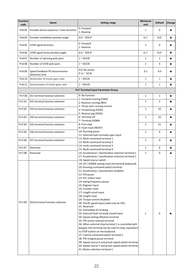| <b>Function</b><br>code | Name                                              | <b>Setting range</b>                                                                                                                                                                                                                                                                                                                                                                                                                                                                                                                                                                                                                                                                                                                                                                         | Minimum<br>unit | <b>Default</b> | Change  |
|-------------------------|---------------------------------------------------|----------------------------------------------------------------------------------------------------------------------------------------------------------------------------------------------------------------------------------------------------------------------------------------------------------------------------------------------------------------------------------------------------------------------------------------------------------------------------------------------------------------------------------------------------------------------------------------------------------------------------------------------------------------------------------------------------------------------------------------------------------------------------------------------|-----------------|----------------|---------|
| Pn6.03                  | Encoder phase sequence / main direction           | 0: Forward<br>1: Reverse                                                                                                                                                                                                                                                                                                                                                                                                                                                                                                                                                                                                                                                                                                                                                                     | $\mathbf{1}$    | 0              | ★       |
| Pn6.04                  | Encoder installation position angle               | $0.0 \times 359.9$ °                                                                                                                                                                                                                                                                                                                                                                                                                                                                                                                                                                                                                                                                                                                                                                         | $0.1^\circ$     | $0.0^\circ$    | $\star$ |
| Pn6.05                  | UVW signal direction                              | 0: Forward<br>1: Reverse                                                                                                                                                                                                                                                                                                                                                                                                                                                                                                                                                                                                                                                                                                                                                                     | $\mathbf{1}$    | 0              | ★       |
| Pn6.06                  | UVW signal home position angle                    | $0.0 \times 359.9$ °                                                                                                                                                                                                                                                                                                                                                                                                                                                                                                                                                                                                                                                                                                                                                                         | $0.1^\circ$     | $0.0^\circ$    | $\star$ |
| Pn6.07                  | Number of spinning pole pairs                     | $1^{\sim} 65535$                                                                                                                                                                                                                                                                                                                                                                                                                                                                                                                                                                                                                                                                                                                                                                             | $\mathbf{1}$    | $\mathbf{1}$   | ★       |
| Pn6.08                  | Number of UVW pole pairs                          | $1^{\sim}$ 65535                                                                                                                                                                                                                                                                                                                                                                                                                                                                                                                                                                                                                                                                                                                                                                             | $\mathbf{1}$    | 4              | $\star$ |
| Pn6.09                  | Speed feedback PG disconnection<br>detection time | 0.0: No action<br>$0.1s \approx 10.0s$                                                                                                                                                                                                                                                                                                                                                                                                                                                                                                                                                                                                                                                                                                                                                       | $0.1\,$         | 0.0            | ★       |
| Pn6.10                  | Numerator of motor gear ratio                     | $1^{\sim}$ 65535                                                                                                                                                                                                                                                                                                                                                                                                                                                                                                                                                                                                                                                                                                                                                                             | $\mathbf{1}$    | $\mathbf{1}$   | $\star$ |
| Pn6.11                  | Denominator of motor gear ratio                   | $1^{\sim} 65535$                                                                                                                                                                                                                                                                                                                                                                                                                                                                                                                                                                                                                                                                                                                                                                             | $1\,$           | $1\,$          | $\star$ |
|                         |                                                   | <b>Pn7 Terminal Input Parameter Group</b>                                                                                                                                                                                                                                                                                                                                                                                                                                                                                                                                                                                                                                                                                                                                                    |                 |                |         |
| Pn7.00                  | DI1 terminal function selection                   | 0: No function                                                                                                                                                                                                                                                                                                                                                                                                                                                                                                                                                                                                                                                                                                                                                                               | $\mathbf{1}$    | $\mathbf{1}$   | ★       |
| Pn7.01                  | DI2 terminal function selection                   | 1: Forward running (FWD)<br>2: Reverse running (REV)<br>3: Three-wire running control                                                                                                                                                                                                                                                                                                                                                                                                                                                                                                                                                                                                                                                                                                        | $\mathbf{1}$    | $\overline{2}$ | $\star$ |
| Pn7.02                  | DI3 terminal function selection                   | 4: Forward jog (FJOG)<br>5: Reverse jog (RJOG)                                                                                                                                                                                                                                                                                                                                                                                                                                                                                                                                                                                                                                                                                                                                               | $\mathbf{1}$    | 52             | $\star$ |
| Pn7.03                  | DI4 terminal function selection                   | 6: Terminal UP<br>7: Terminal DOWN                                                                                                                                                                                                                                                                                                                                                                                                                                                                                                                                                                                                                                                                                                                                                           | $\mathbf{1}$    | 55             | $\star$ |
| Pn7.04                  | DI5 terminal function selection                   | 8: Free stop<br>9: Fault reset (RESET)                                                                                                                                                                                                                                                                                                                                                                                                                                                                                                                                                                                                                                                                                                                                                       | $\mathbf{1}$    | 51             | $\star$ |
| Pn7.05                  | DI6 terminal function selection                   | 10: Running pause<br>11: External fault normally open input                                                                                                                                                                                                                                                                                                                                                                                                                                                                                                                                                                                                                                                                                                                                  | $\mathbf{1}$    | 9              | ★       |
| Pn7.06                  | DI7 terminal function selection                   | 12: Multi-command terminal 1<br>13: Multi-command terminal 2                                                                                                                                                                                                                                                                                                                                                                                                                                                                                                                                                                                                                                                                                                                                 | $\mathbf{1}$    | 0              | ★       |
| Pn7.07                  | Reserved                                          | 14: multi-command terminal 3<br>15: Multi-command terminal 4                                                                                                                                                                                                                                                                                                                                                                                                                                                                                                                                                                                                                                                                                                                                 | $\mathbf{1}$    | $\mathbf 0$    | $\star$ |
| Pn7.08                  | Reserved                                          | 16: Acceleration / deceleration selection terminal 1<br>17: Acceleration / deceleration selection terminal 2                                                                                                                                                                                                                                                                                                                                                                                                                                                                                                                                                                                                                                                                                 | $\mathbf 1$     | $\mathbf 0$    | $\star$ |
|                         |                                                   | 18: Speed source switch<br>19: UP / DOWN setting reset (terminal & keyboard)<br>20: Running command switch terminal<br>21: Acceleration / deceleration disabled                                                                                                                                                                                                                                                                                                                                                                                                                                                                                                                                                                                                                              |                 |                |         |
| Pn7.09                  | DI10 terminal function selection                  | 22: PID pause<br>23: PLC status reset<br>24: Swing frequency pause<br>25: Register input<br>26: Counter reset<br>27: Length count input<br>28: Length reset<br>29: Torque control disabled<br>30: PULSE speed input (valid only for DI5)<br>31: Reserved<br>32: Immediate DC braking<br>33: External fault normally closed input<br>34: Speed setting effective terminal<br>35: PID action reversal terminal<br>36: When external stop terminal 1 is controlled with<br>keypad, this terminal can be used to stop, equivalent<br>to STOP button on the keyboard.<br>37: Control command switch terminal 2<br>38: PID integral pause terminal<br>39: Speed source X and preset speed switch terminal<br>40: Speed source Y and preset speed switch terminal<br>41: Motor selection terminal 1 | $\mathbf{1}$    | $\pmb{0}$      | ★       |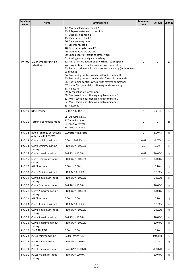| Function<br>code | <b>Name</b>                                      | <b>Setting range</b>                                                                                                                                                                                                                                                                                                                                                                                                                                                                                                                                                                                                                                                                                                                                                                                                                                                                                                                                                     | Minimum<br>unit | <b>Default</b> | Change |
|------------------|--------------------------------------------------|--------------------------------------------------------------------------------------------------------------------------------------------------------------------------------------------------------------------------------------------------------------------------------------------------------------------------------------------------------------------------------------------------------------------------------------------------------------------------------------------------------------------------------------------------------------------------------------------------------------------------------------------------------------------------------------------------------------------------------------------------------------------------------------------------------------------------------------------------------------------------------------------------------------------------------------------------------------------------|-----------------|----------------|--------|
| Pn7.09           | DI10 terminal function<br>selection              | 42: Motor selection terminal 2<br>43: PID parameter switch terminal<br>44: User defined fault 1<br>45: User defined fault 2<br>46: Clear running time<br>47: Emergency stop<br>48: External stop terminal 2<br>49: Deceleration DC braking<br>50: Speed control/torque control switch<br>51: Analog command gain switching<br>52: Pulse synchronous mode switching (pulse speed<br>synchronization <-> pulse position synchronization)<br>53: Pulse position synchronous control switching (with forward<br>command)<br>54: Positioning control switch (without command)<br>55: Positioning control switch (with forward command)<br>56: Positioning control switch (with reverse command)<br>57: Index / incremental positioning mode switching<br>58: Relocate<br>59: Terminal home signal input<br>60: Multi-section positioning length command 1<br>61: Multi-section positioning length command 2<br>62: Multi-section positioning length command 3<br>63: Reserved | $\mathbf{1}$    | $\mathbf 0$    | ★      |
| Pn7.10           | DI filter time                                   | $0.000s \approx 1.000s$                                                                                                                                                                                                                                                                                                                                                                                                                                                                                                                                                                                                                                                                                                                                                                                                                                                                                                                                                  | $\mathbf 1$     | 0.010s         | ☆      |
| Pn7.11           | Terminal command mode                            | 0: Two-wire type 1<br>1: Two-wire type 2<br>2: Three-wire type 1<br>3: Three-wire type 2                                                                                                                                                                                                                                                                                                                                                                                                                                                                                                                                                                                                                                                                                                                                                                                                                                                                                 | $\mathbf{1}$    | $\mathsf 0$    | ★      |
| Pn7.12           | Rate of change per second<br>of terminal UP/DOWN | $0.001$ Hz ~ 65.535Hz                                                                                                                                                                                                                                                                                                                                                                                                                                                                                                                                                                                                                                                                                                                                                                                                                                                                                                                                                    | $\mathbf{1}$    | 1.00Hz         | ☆      |
| Pn7.13           | Curve 1minimum input                             | $0.00V \cong Pn7.15$                                                                                                                                                                                                                                                                                                                                                                                                                                                                                                                                                                                                                                                                                                                                                                                                                                                                                                                                                     | 0.01            | 0.00V          | ☆      |
| Pn7.14           | Curve 1minimum input<br>setting                  | $-100.0\%$ ~ $+100.0\%$                                                                                                                                                                                                                                                                                                                                                                                                                                                                                                                                                                                                                                                                                                                                                                                                                                                                                                                                                  | 0.1             | 0.0%           | ☆      |
| Pn7.15           | Curve 1 maximum input                            | $Pn7.13^* + 10.00V$                                                                                                                                                                                                                                                                                                                                                                                                                                                                                                                                                                                                                                                                                                                                                                                                                                                                                                                                                      | 0.01            | 10.00V         | ☆      |
| Pn7.16           | Curve 1maximum input<br>setting                  | $-100.0\%$ ~ $+100.0\%$                                                                                                                                                                                                                                                                                                                                                                                                                                                                                                                                                                                                                                                                                                                                                                                                                                                                                                                                                  | 0.1             | 100.0%         | ☆      |
| Pn7.17           | AI1 filter time                                  | $0.00s \approx 10.00s$                                                                                                                                                                                                                                                                                                                                                                                                                                                                                                                                                                                                                                                                                                                                                                                                                                                                                                                                                   |                 | 0.10s          | ☆      |
| Pn7.18           | Curve 2minimum input                             | $-10.00V$ ~ Pn7.20                                                                                                                                                                                                                                                                                                                                                                                                                                                                                                                                                                                                                                                                                                                                                                                                                                                                                                                                                       |                 | $-10.00V$      | ☆      |
| Pn7.19           | Curve 2 minimum input<br>setting                 | $-100.0\%$ ~ $+100.0\%$                                                                                                                                                                                                                                                                                                                                                                                                                                                                                                                                                                                                                                                                                                                                                                                                                                                                                                                                                  |                 | $-100.0%$      | ☆      |
| Pn7.20           | Curve 2maximum input                             | $Pn7.18^* + 10.00V$                                                                                                                                                                                                                                                                                                                                                                                                                                                                                                                                                                                                                                                                                                                                                                                                                                                                                                                                                      |                 | 10.00V         | ☆      |
| Pn7.21           | Curve 2 maximum input<br>setting                 | $-100.0\%$ ~ $+100.0\%$                                                                                                                                                                                                                                                                                                                                                                                                                                                                                                                                                                                                                                                                                                                                                                                                                                                                                                                                                  |                 | 100.0%         | ☆      |
| Pn7.22           | AI2 filter time                                  | $0.00s \approx 10.00s$                                                                                                                                                                                                                                                                                                                                                                                                                                                                                                                                                                                                                                                                                                                                                                                                                                                                                                                                                   |                 | 0.10s          | ☆      |
| Pn7.23           | Curve 3minimum input                             | -10.00V ~ Pn7.25                                                                                                                                                                                                                                                                                                                                                                                                                                                                                                                                                                                                                                                                                                                                                                                                                                                                                                                                                         |                 | $-10.00V$      | ☆      |
| Pn7.24           | Curve 3 minimum input<br>setting                 | $-100.0\%$ ~ $+100.0\%$                                                                                                                                                                                                                                                                                                                                                                                                                                                                                                                                                                                                                                                                                                                                                                                                                                                                                                                                                  |                 | $-100.0%$      | ☆      |
| Pn7.25           | Curve 3 maximum input                            | $Pn7.23^* + 10.00V$                                                                                                                                                                                                                                                                                                                                                                                                                                                                                                                                                                                                                                                                                                                                                                                                                                                                                                                                                      |                 | 10.00V         | ☆      |
| Pn7.26           | Curve 3 maximum input<br>setting                 | $-100.0\%$ ~ $+100.0\%$                                                                                                                                                                                                                                                                                                                                                                                                                                                                                                                                                                                                                                                                                                                                                                                                                                                                                                                                                  |                 | 100.0%         | ☆      |
| Pn7.27           | AI3 filter time                                  | $0.00s \approx 10.00s$                                                                                                                                                                                                                                                                                                                                                                                                                                                                                                                                                                                                                                                                                                                                                                                                                                                                                                                                                   |                 | 0.10s          | ☆      |
| Pn7.28           | PULSE minimum input                              | 0.00kHz ~ Pn7.30                                                                                                                                                                                                                                                                                                                                                                                                                                                                                                                                                                                                                                                                                                                                                                                                                                                                                                                                                         |                 | 0.00kHz        | ☆      |
| Pn7.29           | PULSE minimum input<br>setting                   | -100.0% ~ 100.0%                                                                                                                                                                                                                                                                                                                                                                                                                                                                                                                                                                                                                                                                                                                                                                                                                                                                                                                                                         |                 | 0.0%           | ☆      |
| Pn7.30           | PULSE maximum input                              | Pn7.28 ~ 100.00kHz                                                                                                                                                                                                                                                                                                                                                                                                                                                                                                                                                                                                                                                                                                                                                                                                                                                                                                                                                       |                 | 50.00kHz       | ☆      |
| Pn7.31           | PULSE maximum input<br>setting                   | $-100.0\%$ ~ 100.0%                                                                                                                                                                                                                                                                                                                                                                                                                                                                                                                                                                                                                                                                                                                                                                                                                                                                                                                                                      |                 | 100.0%         | ☆      |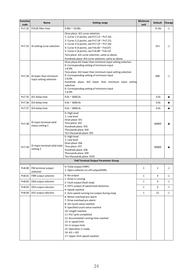| Function<br>code | Name                                             | <b>Setting range</b>                                                                                                                                                                                                                                                                                                                                                          | Minimum<br>unit | <b>Default</b> | Change |
|------------------|--------------------------------------------------|-------------------------------------------------------------------------------------------------------------------------------------------------------------------------------------------------------------------------------------------------------------------------------------------------------------------------------------------------------------------------------|-----------------|----------------|--------|
| Pn7.32           | PULSE filter time                                | $0.00s \approx 10.00s$                                                                                                                                                                                                                                                                                                                                                        |                 | 0.10s          | ☆      |
| Pn7.33           | AI setting curve selection                       | Ones place: AI1 curve selection<br>1: Curve 1 (2 points, see Pn7.13 ~ Pn7.16)<br>2: Curve 2 (2 points, see Pn7.18 ~ Pn7.21)<br>3: Curve 3 (2 points, see Pn7.23 ~ Pn7.26)<br>4: Curve 4 (4 points, see Fn6.00 ~ Fn6.07)<br>5: Curve 5 (4 points, see Fn6.08 ~ Fn6.15)<br>Tens place: AI2 curve selection, same as above<br>Hundreds place: AI3 curve selection, same as above |                 | 321            | ☆      |
| Pn7.34           | AI lower than minimum<br>input setting selection | Ones place: AI1 lower than minimum input setting selection<br>0: Corresponding setting of minimum input<br>1:0.0%<br>Tens place: AI2 lower than minimum input setting selection<br>0: Corresponding setting of minimum input<br>1:0.0%<br>Hundreds place: AI3 lower than minimum input setting<br>selection<br>0: Corresponding setting of minimum input<br>1:0.0%            |                 | 000            | ☆      |
| Pn7.35           | DI1 delay time                                   | $0.0s \approx 3600.0s$                                                                                                                                                                                                                                                                                                                                                        |                 | 0.0s           | ★      |
| Pn7.36           | DI2 delay time                                   | $0.0s \approx 3600.0s$                                                                                                                                                                                                                                                                                                                                                        |                 | 0.0s           | ★      |
| Pn7.37           | DI3 delay time                                   | $0.0s \approx 3600.0s$                                                                                                                                                                                                                                                                                                                                                        |                 | 0.0s           | ★      |
| Pn7.38           | DI input terminal valid<br>status setting 1      | 0: High level<br>1: Low level<br>Ones place: DI1<br>Tens place: DI2<br>Hundreds place: DI3<br>Thousands place: DI4<br>Ten-thousands place: DI5                                                                                                                                                                                                                                |                 | 00000          | ★      |
| Pn7.39           | DI input terminal valid state<br>setting 2       | 0: High level<br>1: Low level<br>Ones place: DI6<br>Tens place: DI7<br>Hundreds place: DI8<br>Thousands place: DI9<br>Ten-thousands place: DI10                                                                                                                                                                                                                               |                 | 00000          | ★      |
|                  |                                                  | <b>Pn8 Terminal Output Parameter Group</b>                                                                                                                                                                                                                                                                                                                                    |                 |                |        |
| Pn8.00           | FM terminal output<br>selection                  | 0: Pulse output (FMP)<br>1: Open collector on-off output(FMR)                                                                                                                                                                                                                                                                                                                 | $\mathbf{1}$    | $\mathbf{1}$   | ☆      |
| Pn8.01           | FMR output selection                             | 0: No output                                                                                                                                                                                                                                                                                                                                                                  | $\mathbf{1}$    | $\overline{4}$ | ☆      |
| Pn8.02           | DO4 output selection                             | 1: Drive is running<br>2: Fault output (fault stop)                                                                                                                                                                                                                                                                                                                           | $1\,$           | $\mathbf 0$    | ☆      |
| Pn8.03           | DO3 output selection                             | 3: FDT1 output of speed level detection<br>4: Speed reached                                                                                                                                                                                                                                                                                                                   | 1               | $\mathbf 0$    | ☆      |
| Pn8.04           | DO1 output selection                             | 5: Zero speed running (no output during stop)                                                                                                                                                                                                                                                                                                                                 | $\mathbf{1}$    | 21             | ☆      |
|                  |                                                  | 6: Motor overload pre-alarm<br>7: Drive overload pre-alarm<br>8: Set count value reached<br>9: Specified count value reached<br>10: Length reached<br>11: PLC cycle completed<br>12: Accumulated running time reached<br>13: In speed limit<br>14: In torque limit<br>15: Operation is ready<br>16: AI1 > AI2<br>17: Upper limit speed reached                                |                 |                |        |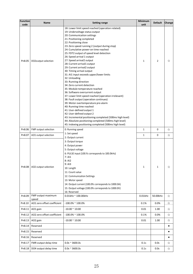| Function       | Name                        | <b>Setting range</b>                                                                                                                                                                                                                                                                                                                                                                                                                                                                                                                                                                                                                                                                                                                                                                                                                                                                                                                                                                                            | Minimum<br>unit | <b>Default</b> | Change    |
|----------------|-----------------------------|-----------------------------------------------------------------------------------------------------------------------------------------------------------------------------------------------------------------------------------------------------------------------------------------------------------------------------------------------------------------------------------------------------------------------------------------------------------------------------------------------------------------------------------------------------------------------------------------------------------------------------------------------------------------------------------------------------------------------------------------------------------------------------------------------------------------------------------------------------------------------------------------------------------------------------------------------------------------------------------------------------------------|-----------------|----------------|-----------|
| code<br>Pn8.05 | DO2output selection         | 18: Lower limit speed reached (operation related)<br>19: Undervoltage status output<br>20: Communication settings<br>21: Positioning completed<br>22: Positioning close<br>23: Zero speed running 2 (output during stop)<br>24: Cumulative power-on time reached<br>25: FDT2 output of speed level detection<br>26: Speed arrival 1 output<br>27: Speed arrival2 output<br>28: Current arrival1 output<br>29: Current arrival2 output<br>30: Timing arrival output<br>31: AI1 input exceeds upper/lower limits<br>32: Unloading<br>33: Running direction<br>34: Zero current detection<br>35: Module temperature reached<br>36: Software overcurrent output<br>37: Lower limit speed reached (operation irrelevant)<br>38: Fault output (operation continues)<br>39: Motor overtemperature pre-alarm<br>40: Running time reached<br>41: User-defined output 1<br>42: User-defined output 2<br>43: Incremental positioning completed (500ms high level)<br>44: Absolute positioning completed (500ms high level) | 1               | $\overline{2}$ | ☆         |
|                |                             | 45: Indexing positioning completed (500ms high level)                                                                                                                                                                                                                                                                                                                                                                                                                                                                                                                                                                                                                                                                                                                                                                                                                                                                                                                                                           |                 |                |           |
| Pn8.06         | FMP output selection        | 0: Running speed<br>1: Set speed                                                                                                                                                                                                                                                                                                                                                                                                                                                                                                                                                                                                                                                                                                                                                                                                                                                                                                                                                                                | $\mathbf{1}$    | $\mathbf 0$    | ☆         |
| Pn8.07         | AO1 output selection        | 2: Output current                                                                                                                                                                                                                                                                                                                                                                                                                                                                                                                                                                                                                                                                                                                                                                                                                                                                                                                                                                                               | $\mathbf{1}$    | $\pmb{0}$      | ☆         |
| Pn8.08         | AO2 output selection        | 3: Output torque<br>4: Output power<br>5: Output voltage<br>6: PULSE input (100.% corresponds to 100.0kHz)<br>7: AI1<br>8: AI2<br>9: AI3<br>10: Length<br>11: Count value<br>12: Communication Settings<br>13: Motor speed<br>14: Output current (100.0% corresponds to 1000.0A)<br>15: Output voltage (100.0% corresponds to 1000.0V)<br>16: Reserved                                                                                                                                                                                                                                                                                                                                                                                                                                                                                                                                                                                                                                                          | 1               | $\mathbf{1}$   | ☆         |
| Pn8.09         | FMP output maximum<br>speed | 0.01kHz ~ 100.00kHz                                                                                                                                                                                                                                                                                                                                                                                                                                                                                                                                                                                                                                                                                                                                                                                                                                                                                                                                                                                             | $0.01$ kHz      | 50.00kHz       | ☆         |
| Pn8.10         | AO1 zero offset coefficient | $-100.0\%$ ~ 100.0%                                                                                                                                                                                                                                                                                                                                                                                                                                                                                                                                                                                                                                                                                                                                                                                                                                                                                                                                                                                             | 0.1%            | 0.0%           | ☆         |
| Pn8.11         | AO1 gain                    | $-10.00 \approx 10.00$                                                                                                                                                                                                                                                                                                                                                                                                                                                                                                                                                                                                                                                                                                                                                                                                                                                                                                                                                                                          | 0.01            | 1.00           | ☆         |
| Pn8.12         | AO2 zero offset coefficient | $-100.0\%$ ~ 100.0%                                                                                                                                                                                                                                                                                                                                                                                                                                                                                                                                                                                                                                                                                                                                                                                                                                                                                                                                                                                             | 0.1%            | 0.0%           | ☆         |
| Pn8.13         | AO2 gain                    | $-10.00 \approx 10.00$                                                                                                                                                                                                                                                                                                                                                                                                                                                                                                                                                                                                                                                                                                                                                                                                                                                                                                                                                                                          | 0.01            | 1.00           | ☆         |
| Pn8.14         | Reserved                    |                                                                                                                                                                                                                                                                                                                                                                                                                                                                                                                                                                                                                                                                                                                                                                                                                                                                                                                                                                                                                 |                 |                | ٠         |
| Pn8.15         | Reserved                    |                                                                                                                                                                                                                                                                                                                                                                                                                                                                                                                                                                                                                                                                                                                                                                                                                                                                                                                                                                                                                 |                 |                | $\bullet$ |
| Pn8.16         | Reserved                    |                                                                                                                                                                                                                                                                                                                                                                                                                                                                                                                                                                                                                                                                                                                                                                                                                                                                                                                                                                                                                 |                 |                | $\bullet$ |
| Pn8.17         | FMR output delay time       | $0.0s \approx 3600.0s$                                                                                                                                                                                                                                                                                                                                                                                                                                                                                                                                                                                                                                                                                                                                                                                                                                                                                                                                                                                          | 0.1s            | 0.0s           | ☆         |
| Pn8.18         | DO4 output delay time       | $0.0s \approx 3600.0s$                                                                                                                                                                                                                                                                                                                                                                                                                                                                                                                                                                                                                                                                                                                                                                                                                                                                                                                                                                                          | 0.1s            | 0.0s           | ☆         |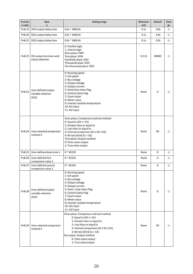| <b>Functio</b><br>n code | Nam<br>e                                           | <b>Setting range</b>                                                                                                                                                                                                                                                                       | Minimum<br>unit | <b>Default</b> | Chan<br>ge |
|--------------------------|----------------------------------------------------|--------------------------------------------------------------------------------------------------------------------------------------------------------------------------------------------------------------------------------------------------------------------------------------------|-----------------|----------------|------------|
| Pn8.19                   | DO3 output delay time                              | $0.0s \approx 3600.0s$                                                                                                                                                                                                                                                                     | 0.1s            | 0.0s           | ☆          |
| Pn8.20                   | DO1 output delay time                              | $0.0s \approx 3600.0s$                                                                                                                                                                                                                                                                     | 0.1s            | 0.0s           | ☆          |
| Pn8.21                   | DO2 output delay time                              | $0.0s \approx 3600.0s$                                                                                                                                                                                                                                                                     | 0.1s            | 0.0s           | ☆          |
| Pn8.22                   | DO output terminal valid<br>status selection       | 0. Positive logic<br>1. Inverse logic<br>Ones place: FMR<br>Tens place: DO4<br>Hundreds place: DO3<br>Thousands place: DO1<br>Ten-thousands place: DO2                                                                                                                                     | 11111           | 00000          | ☆          |
| Pn8.23                   | User-defined output<br>variable selection<br>(EX)1 | 0: Running speed<br>1: Set speed<br>2: Bus voltage<br>3: Output voltage<br>4: Output current<br>5: Start/stop status flag<br>6: Control status flag<br>7: Count value<br>8: Meter value<br>9: Inverter module temperature<br>10: Al1 input<br>11: AI2 input                                | None            | $\mathbf{0}$   | ☆          |
| Pn8.24                   | User-selected comparison<br>method 1               | Ones place: Comparison and test method<br>0: Equal to $(EX == X1)$<br>1: Greater than or equal to<br>2: Less than or equal to<br>3: Interval comparison ( $X1 \le EX \le X2$ )<br>4: Bit test (EX & X1 = X2)<br>Tens place: Output method<br>0: False value output<br>1: True value output | None            | 0 <sub>0</sub> | ☆          |
| Pn8.25                   | User-defined dead zone 1                           | $0 - 65535$                                                                                                                                                                                                                                                                                | None            | 0              | ☆          |
| Pn8.26                   | User-defined first<br>comparison value 1           | $0 - 65535$                                                                                                                                                                                                                                                                                | None            | $\mathsf 0$    | ☆          |
| Pn8.27                   | User-defined second<br>comparison value 1          | $0 - 65535$                                                                                                                                                                                                                                                                                | None            | $\mathsf 0$    | ☆          |
| Pn8.28                   | User-defined output<br>variable selection<br>(EX)2 | 0: Running speed<br>1: Set speed<br>2: Bus voltage<br>3: Output voltage<br>4: Output current<br>5: Start / stop status flag<br>6: Control status flag<br>7: Count value<br>8: Meter value<br>9: Inverter module temperature<br>10: AI1 input<br>11: AI2 input                              | None            | $\mathbf{0}$   | ☆          |
| Pn8.29                   | User-selected comparison<br>method 2               | Ones place: Comparison and test method<br>0: Equal to $(EX == X1)$<br>1: Greater than or equal to<br>2: Less than or equal to<br>3: Interval comparison ( $X1 \le EX \le X2$ )<br>4: Bit test (EX & X1 = X2)<br>Tens place: Output method<br>0: False value output<br>1: True value output | None            | $00\,$         | ☆          |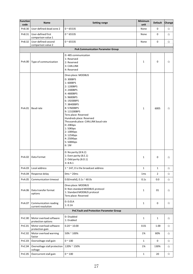| Function<br>code | Name                                          | <b>Setting range</b>                                                                                                                                                                                                                                                                                                                     | Minimum<br>unit | <b>Default</b> | Change |
|------------------|-----------------------------------------------|------------------------------------------------------------------------------------------------------------------------------------------------------------------------------------------------------------------------------------------------------------------------------------------------------------------------------------------|-----------------|----------------|--------|
| Pn8.30           | User-defined dead zone 2                      | $0 - 65535$                                                                                                                                                                                                                                                                                                                              | None            | 0              | ☆      |
| Pn8.31           | User-defined first<br>comparison value 1      | $0 - 65535$                                                                                                                                                                                                                                                                                                                              | None            | 0              | ☆      |
| Pn8.32           | User-defined second<br>comparison value 2     | $0 - 65535$                                                                                                                                                                                                                                                                                                                              | None            | $\pmb{0}$      | ☆      |
|                  |                                               | <b>PnA Communication Parameter Group</b>                                                                                                                                                                                                                                                                                                 |                 |                |        |
| PnA.00           | Type of communication                         | 0: 485 communication<br>1: Reserved<br>2: Reserved<br>3: CAN.LINK<br>4: Reserved                                                                                                                                                                                                                                                         | $\mathbf{1}$    | $\mathbf 0$    | ☆      |
| PnA.01           | Baud rate                                     | Ones place: MODBUS<br>0:300BPS<br>1:600BPS<br>2:1200BPS<br>3:2400BPS<br>4:4800BPS<br>5:9600BPS<br>6:19200BPS<br>7:38400BPS<br>8:57600BPS<br>9:115200BPS<br>Tens place: Reserved<br>Hundreds place: Reserved<br>Thousands place: CAN.LINK baud rate<br>0:20Kbps<br>1:50Kbps<br>2:100Kbps<br>3: 125Kbps<br>4: 250Kbps<br>5:500Kbps<br>6:1M | $\mathbf{1}$    | 6005           | ☆      |
| PnA.02           | Data Format                                   | 0: No parity (8.N.2)<br>1: Even parity (8.E.1)<br>2: Odd parity (8.0.1)<br>3: 8.N.1                                                                                                                                                                                                                                                      | $\,1\,$         | $\pmb{0}$      | ☆      |
| PnA.03           | Local address                                 | $1$ $\sim$ 247, 0 is the broadcast address                                                                                                                                                                                                                                                                                               | $\,1\,$         | $\mathbf 1$    | ☆      |
| PnA.04           | Response delay                                | 0ms $\approx$ 20ms                                                                                                                                                                                                                                                                                                                       | 1 <sub>ms</sub> | $\mathbf 2$    | ☆      |
| PnA.05           | Communication timeout                         | 0.0(Invalid), $0.1s \approx 60.0s$                                                                                                                                                                                                                                                                                                       | 0.1s            | 0.0            | ☆      |
| PnA.06           | Data transfer format<br>options               | Ones place: MODBUS<br>0: Non-standard MODBUS protocol<br>1: Standard MODBUS protocol<br>Tens place: Reserved                                                                                                                                                                                                                             | $\,1\,$         | 01             | ☆      |
| PnA.07           | Communication reading<br>current resolution   | 0: 0.01A<br>1:0.1A                                                                                                                                                                                                                                                                                                                       | $\mathbf{1}$    | $\mathbf 0$    | ☆      |
|                  |                                               | PnC Fault and Protection Parameter Group                                                                                                                                                                                                                                                                                                 |                 |                |        |
| PnC.00           | Motor overload software<br>protection options | 0: Disabled<br>1: Enabled                                                                                                                                                                                                                                                                                                                | $\mathbf 1$     | $\mathbf 1$    | ☆      |
| PnC.01           | Motor overload software<br>protection gain    | $0.20 \times 10.00$                                                                                                                                                                                                                                                                                                                      | 0.01            | 1.00           | ☆      |
| PnC.02           | Motor overload warning<br>factor              | 50% ~ 100%                                                                                                                                                                                                                                                                                                                               | 1%              | 80%            | ☆      |
| PnC.03           | Overvoltage stall gain                        | $0 - 100$                                                                                                                                                                                                                                                                                                                                | $\mathbf{1}$    | $\pmb{0}$      | ☆      |
| PnC.04           | Overvoltage stall protection<br>voltage       | 120% ~ 150%                                                                                                                                                                                                                                                                                                                              | 1%              | 130%           | ☆      |
| PnC.05           | Overcurrent stall gain                        | $0 \sim 100$                                                                                                                                                                                                                                                                                                                             | $1\,$           | 20             | ☆      |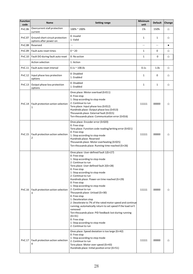| Function<br>code | Name                                                      | <b>Setting range</b>                                                                                                                                                                                                                                                                                                                                                                                                                                                                                                                                                                                                                                                                                                       | Minimum<br>unit | <b>Default</b> | Change    |
|------------------|-----------------------------------------------------------|----------------------------------------------------------------------------------------------------------------------------------------------------------------------------------------------------------------------------------------------------------------------------------------------------------------------------------------------------------------------------------------------------------------------------------------------------------------------------------------------------------------------------------------------------------------------------------------------------------------------------------------------------------------------------------------------------------------------------|-----------------|----------------|-----------|
| PnC.06           | Overcurrent stall protection<br>current                   | 100%~200%                                                                                                                                                                                                                                                                                                                                                                                                                                                                                                                                                                                                                                                                                                                  | 1%              | 150%           | ☆         |
| PnC.07           | Ground short-circuit protection<br>options after power-on | 0: Invalid<br>1: Valid                                                                                                                                                                                                                                                                                                                                                                                                                                                                                                                                                                                                                                                                                                     | $\mathbf{1}$    | $\mathbf{1}$   | ☆         |
| PnC.08           | Reserved                                                  | ÷                                                                                                                                                                                                                                                                                                                                                                                                                                                                                                                                                                                                                                                                                                                          |                 |                | $\bullet$ |
| PnC.09           | Fault auto reset times                                    | $0^{\sim} 20$                                                                                                                                                                                                                                                                                                                                                                                                                                                                                                                                                                                                                                                                                                              | $\mathbf{1}$    | 0              | ☆         |
| PnC.10           | Fault DO during fault auto reset                          | 0: No action                                                                                                                                                                                                                                                                                                                                                                                                                                                                                                                                                                                                                                                                                                               | $\mathbf{1}$    | $\pmb{0}$      | ☆         |
|                  | Action selection                                          | 1: Action                                                                                                                                                                                                                                                                                                                                                                                                                                                                                                                                                                                                                                                                                                                  |                 |                |           |
| PnC.11           | Fault auto reset interval                                 | $0.1s \approx 100.0s$                                                                                                                                                                                                                                                                                                                                                                                                                                                                                                                                                                                                                                                                                                      | 0.1s            | 1.0s           | ☆         |
| PnC.12           | Input phase loss protection<br>options                    | 0: Disabled<br>1: Enabled                                                                                                                                                                                                                                                                                                                                                                                                                                                                                                                                                                                                                                                                                                  | $\mathbf{1}$    | 0              | ☆         |
| PnC.13           | Output phase loss protection<br>options                   | 0: Disabled<br>1: Enabled                                                                                                                                                                                                                                                                                                                                                                                                                                                                                                                                                                                                                                                                                                  | $\mathbf{1}$    | $\mathbf{1}$   | ☆         |
|                  | PnC.14   Fault protection action selection<br>1           | Ones place: Motor overload (Er011)<br>0: Free stop<br>1: Stop according to stop mode<br>2: Continue to run<br>Tens place: Input phase loss (Er012)<br>Hundreds place: Output phase loss (Er013)<br>Thousands place: External fault (Er015)<br>Ten-thousands place: Communication error (Er016)                                                                                                                                                                                                                                                                                                                                                                                                                             | 11111           | 00000          | ☆         |
| PnC.15           | Fault protection action selection<br>$\overline{2}$       | Ones place: Encoder error (Er020)<br>0: Free stop<br>Tens place: Function code reading/writing error (Er021)<br>0: Free stop<br>1: Stop according to stop mode<br>Hundreds place: Reserved<br>Thousands place: Motor overheating (Er025)<br>Ten-thousands place: Running time reached (Err26)                                                                                                                                                                                                                                                                                                                                                                                                                              | 11111           | 00000          | ☆         |
|                  | PnC.16   Fault protection action selection<br>3           | Ones place: User-defined fault 1(Err27)<br>0: Free stop<br>1: Stop according to stop mode<br>2: Continue to run<br>Tens place: User-defined fault 2(Err28)<br>0: Free stop<br>1: Stop according to stop mode<br>2: Continue to run<br>Hundreds place: Power-on time reached (Err29)<br>0: Free stop<br>1: Stop according to stop mode<br>2: Continue to run<br>Thousands place: Unload (Err30)<br>0: Free stop<br>1: Deceleration stop<br>2: Decelerate to 7% of the rated motor speed and continue<br>running; automatically return to set speed if the load isn't<br>removed<br>Ten-thousands place: PID feedback lost during running<br>(Err31)<br>0: Free stop<br>1: Stop according to stop mode<br>2: Continue to run | 11111           | 00000          | ☆         |
| PnC.17           | Fault protection action selection<br>$\overline{4}$       | Ones place: Speed deviation is too large (Err42)<br>0: Free stop<br>1: Stop according to stop mode<br>2: Continue to run<br>Tens place: Motor over speed (Err43)<br>Hundreds place: Initial position error (Err51)                                                                                                                                                                                                                                                                                                                                                                                                                                                                                                         | 11111           | 00000          | ☆         |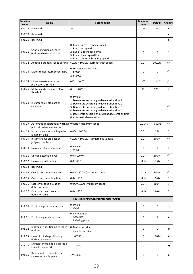| Function<br>code | Name                                                                                   | <b>Setting range</b>                                                                                                                                                                                                                                                                                                                        | Minimum<br>unit          | <b>Default</b>           | Change    |
|------------------|----------------------------------------------------------------------------------------|---------------------------------------------------------------------------------------------------------------------------------------------------------------------------------------------------------------------------------------------------------------------------------------------------------------------------------------------|--------------------------|--------------------------|-----------|
| PnC.18           | Reserved                                                                               |                                                                                                                                                                                                                                                                                                                                             |                          |                          | $\bullet$ |
| PnC.19           | Reserved                                                                               |                                                                                                                                                                                                                                                                                                                                             |                          |                          | $\bullet$ |
| PnC.20           | Reserved                                                                               | $\overline{\phantom{0}}$                                                                                                                                                                                                                                                                                                                    | $\overline{\phantom{0}}$ | $\overline{\phantom{a}}$ | $\bullet$ |
| PnC.21           | Continuing running speed<br>options when fault occurs                                  | 0: Run at current running speed<br>1: Run at set speed<br>2: Run at upper speed limit<br>3: Run at lower speed limit<br>4: Run at abnormal standby speed                                                                                                                                                                                    | $1\,$                    | $\pmb{0}$                | ☆         |
| PnC.22           | Abnormal standby speed setting                                                         | 60.0% ~ 100.0% (current target speed)                                                                                                                                                                                                                                                                                                       | 0.1%                     | 100.0%                   | ☆         |
| PnC.23           | Motor temperature sensor type                                                          | 0: No temperature sensor<br>1: PT100<br>2: PT1000                                                                                                                                                                                                                                                                                           | $1\,$                    | $\pmb{0}$                | ☆         |
| PnC.24           | Motor over-temperature<br>protection threshold                                         | $0^{\circ}$ ~ 200 $^{\circ}$ C                                                                                                                                                                                                                                                                                                              | $1^{\circ}$ C            | 110°C                    | ☆         |
| PnC.25           | Motor overheating pre-alarm<br>threshold                                               | $0^{\circ}$ ~ 200 $^{\circ}$ C                                                                                                                                                                                                                                                                                                              | $1^{\circ}$ C            | 90°C                     | ☆         |
| PnC.26           | Instantaneous stop action<br>selection                                                 | 0: Invalid<br>1: Decelerate according to deceleration time 1<br>2: Decelerate according to deceleration time 2<br>$\mathbf{1}$<br>$\mathbf 0$<br>☆<br>3: Decelerate according to deceleration time 3<br>4: Decelerate according to deceleration time 4<br>5: Decelerate according to current deceleration time<br>6: Automatic deceleration |                          |                          |           |
| PnC.27           | Automatic deceleration switching 0.00Hz ~ Maximum speed<br>point at instantaneous stop |                                                                                                                                                                                                                                                                                                                                             | $0.01$ Hz                | $0.00$ Hz                | ☆         |
| PnC.28           | Instantaneous stop voltage rise<br>judgment time                                       | $0.00s \approx 100.00s$                                                                                                                                                                                                                                                                                                                     | 0.01s                    | 0.50s                    | ☆         |
| PnC.29           | Instantaneous stop action<br>judgment voltage                                          | 60.0% ~ 100.0% (standard bus voltage)                                                                                                                                                                                                                                                                                                       | 0.1%                     | 80.0%                    | ☆         |
| PnC.30           | Unload protection options                                                              | 0: Invalid<br>1: Valid                                                                                                                                                                                                                                                                                                                      | $\mathbf{1}$             | $\mathbf 0$              | ☆         |
| PnC.31           | Unload detection level                                                                 | $0.0 \, \text{m}$ 100.0%                                                                                                                                                                                                                                                                                                                    | 0.1%                     | 10.0%                    | ☆         |
| PnC.32           | Unload detection time                                                                  | $0.0 - 60.0s$                                                                                                                                                                                                                                                                                                                               | 0.1s                     | 1.0s                     | ☆         |
| PnC.33           | Reserved                                                                               |                                                                                                                                                                                                                                                                                                                                             |                          |                          |           |
| PnC.34           | Over speed detection value                                                             | $0.0\%$ ~ 50.0% (Maximum speed)                                                                                                                                                                                                                                                                                                             | 0.1%                     | 20.0%                    | ☆         |
| PnC.35           | Over speed detection time                                                              | $0.0s \approx 60.0s$                                                                                                                                                                                                                                                                                                                        | 0.1s                     | 5.0s                     | ☆         |
| PnC.36           | Excessive speed deviation<br>detection value                                           | $0.0\%$ ~ 50.0% (Maximum speed)                                                                                                                                                                                                                                                                                                             | 0.1%                     | 20.0%                    | ☆         |
| PnC.37           | Excessive speed deviation<br>detection time                                            | $0.0s \approx 60.0s$                                                                                                                                                                                                                                                                                                                        | 0.1s                     | 0.0s                     | ☆         |
|                  |                                                                                        | <b>PnE Positioning Control Parameter Group</b>                                                                                                                                                                                                                                                                                              |                          |                          |           |
| PnE.00           | Positioning control effective                                                          | 0: Invalid<br>1: Valid                                                                                                                                                                                                                                                                                                                      | $\mathbf{1}$             | $\mathbf{0}$             | ☆         |
| PnE.01           | Positioning mode options                                                               | 0: Incremental<br>1: Absolute<br>2: Indexing plate                                                                                                                                                                                                                                                                                          | 1                        | 2                        | ★         |
| PnE.02           | Index plate positioning encoder<br>options                                             | 0: Motor encoder<br>1: Spindle encoder                                                                                                                                                                                                                                                                                                      | $\mathbf 1$              | 0                        | ★         |
| PnE.03           | Lines of spindle positioning<br>dedicated encoder                                      | $1 - 65535$                                                                                                                                                                                                                                                                                                                                 | $\mathbf 1$              | 1024                     | ★         |
| PnE.04           | Numerator of spindle gear ratio<br>(spindle side gear)                                 | 1 < 10000                                                                                                                                                                                                                                                                                                                                   | $\,1\,$                  | $\mathbf{1}$             | ★         |
| PnE.05           | Denominator of spindle gear<br>ratio (motor side gear)                                 | $1$ $^{\sim}$ 10000                                                                                                                                                                                                                                                                                                                         | $\,1\,$                  | $\,1\,$                  | ★         |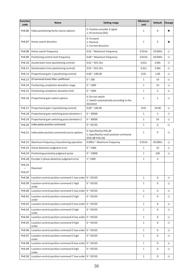| Function<br>code | <b>Name</b>                                                     | <b>Setting range</b>                                                                | Minimum<br>unit | <b>Default</b> | Change |
|------------------|-----------------------------------------------------------------|-------------------------------------------------------------------------------------|-----------------|----------------|--------|
| PnE.06           | Index positioning home source options                           | 0: Position encoder Z signal<br>1: DI terminal (DI5)                                | 1               | 0              | *      |
| PnE.07           | Home search direction                                           | 0: Forward<br>1: Reverse<br>2: Current direction                                    | 1               | 2              | ★      |
| PnE.08           | Home search frequency                                           | 0.01 ~ Maximum frequency                                                            | $0.01$ Hz       | 10.00Hz        | ☆      |
| PnE.09           | Positioning control start frequency                             | 0.00 ~ Maximum frequency                                                            | $0.01$ Hz       | 20.00Hz        | ☆      |
| PnE.10           | Acceleration time (positioning control)                         | $0.01 \approx 655.35s$                                                              | 0.01s           | 3.00s          | ☆      |
| PnE.11           | Deceleration time (positioning control)                         | $0.01 \approx 655.35s$                                                              | 0.01s           | 3.00s          | ☆      |
| PnE.12           | Proportional gain 1 (positioning control)                       | $0.00 \times 100.00$                                                                | 0.01            | 1.00           | ☆      |
| PnE.13           | DI terminal home filter coefficient                             | $0 - 200$                                                                           | $\,1\,$         | 10             | ☆      |
| PnE.14           | Positioning completion deviation range                          | $0 - 1000$                                                                          | $\,1\,$         | 10             | ☆      |
| PnE.15           | Positioning completion deviation limit                          | $0 - 1000$                                                                          | $\,1\,$         | $\overline{2}$ | ☆      |
| PnE.16           | Proportional gain switch options                                | 0: Do not switch<br>1: Switch automatically according to the<br>deviation           | $1\,$           | $\mathbf{1}$   | ☆      |
| PnE.17           | Proportional gain 2 (positioning control)                       | $0.00 \times 100.00$                                                                | 0.01            | 10.00          | ☆      |
| PnE.18           | Proportional gain switching pulse deviation 1                   | $0 - 30000$                                                                         | $\mathbf{1}$    | 5              | ☆      |
| PnE.19           | Proportional gain switching pulse deviation 2                   | $0 - 30000$                                                                         | $1\,$           | 50             | ☆      |
| PnE.20           | Index plate position command                                    | $0 - 65535$                                                                         | $\mathbf 1$     | 0              | ☆      |
| PnE.21           | Index plate position command source options                     | 0: Specified by PnE.20<br>1: Specified by multi-position command<br>(PnE.38~PnE.53) | $\mathbf 1$     | 0              | ☆      |
| PnE.22           | Maximum frequency of positioning operation                      | 0.00Hz ~ Maximum frequency                                                          | $0.01$ Hz       | 50.00Hz        | ☆      |
| PnE.23           | Home detection judgment error                                   | $0^{\sim} 1000$                                                                     | $\,1\,$         | 10             | ☆      |
| PnE.24           | Positioning proximity judgment pulse                            | $0 - 10000$                                                                         | $\,1\,$         | 100            | ☆      |
| <b>PnE.28</b>    | Encoder Z phase detection judgment error                        | $1^{\sim} 1000$                                                                     | $\mathbf 1$     | $\overline{4}$ |        |
| PnE.25           | Reserved                                                        |                                                                                     |                 |                |        |
| PnE.37           |                                                                 |                                                                                     |                 |                |        |
| PnE.38           | Location-control position command 1 low order $0 \approx 65535$ |                                                                                     | $\mathbf 1$     | 0              | ☆      |
| PnE.39           | Location-control position command 1 high<br>order               | $0~^{\sim} 65535$                                                                   | $\mathbf 1$     | 0              | ☆      |
| PnE.40           | Location-control position command 2 low order                   | $0 - 65535$                                                                         | $\mathbf 1$     | 0              | ☆      |
| PnE.41           | Location-control position command 2 high<br>order               | $0 - 65535$                                                                         | $\mathbf{1}$    | $\mathbf 0$    | ☆      |
| PnE.42           | Location-control position command 3 low order                   | $0^{\sim}$ 65535                                                                    | $\mathbf{1}$    | $\mathbf{0}$   | ☆      |
| PnE.43           | Location-control position command 3 high<br>order               | $0^{\sim}$ 65535                                                                    | $\mathbf 1$     | 0              | ☆      |
| PnE.44           | Location-control position command 4 low order                   | $0 - 65535$                                                                         | $\mathbf 1$     | 0              | ☆      |
| PnE.45           | Location-control position command 4 high<br>order               | $0^{\sim}$ 65535                                                                    | $\mathbf 1$     | 0              | ☆      |
| PnE.46           | Location-control position command 5 low order                   | $0 - 65535$                                                                         | $1\,$           | 0              | ☆      |
| PnE.47           | Location-control position command 5 high<br>order               | $0^{\sim}$ 65535                                                                    | $\,1\,$         | 0              | ☆      |
| <b>PnE.48</b>    | Location-control position command 6 low order                   | $0^{\sim}$ 65535                                                                    | $1\,$           | 0              | ☆      |
| PnE.49           | Location-control position command 6 high<br>order               | $0~^{\circ}$ 65535                                                                  | $\mathbf{1}$    | $\mathbf 0$    | ☆      |
| PnE.50           | Location-control position command 7 low order $0 \approx 65535$ |                                                                                     | $\,1\,$         | 0              | ☆      |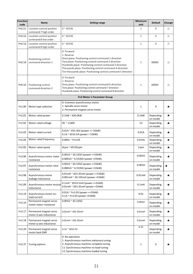| Function<br>code | Name                                              | <b>Setting range</b>                                                                                                                                                                                                                                                                                                          | Minimum<br>unit    | <b>Default</b>        | Change  |
|------------------|---------------------------------------------------|-------------------------------------------------------------------------------------------------------------------------------------------------------------------------------------------------------------------------------------------------------------------------------------------------------------------------------|--------------------|-----------------------|---------|
| PnE.51           | Location-control position<br>command 7 high order | $0 - 65535$                                                                                                                                                                                                                                                                                                                   | 1                  | 0                     | ☆       |
| PnE.52           | Location-control position<br>command 8 low order  | $0~^{\circ}$ 65535                                                                                                                                                                                                                                                                                                            | $1\,$              | $\boldsymbol{0}$      | ☆       |
| PnE.53           | Location-control position<br>command 8 high order | $0 - 65535$                                                                                                                                                                                                                                                                                                                   | $1\,$              | $\boldsymbol{0}$      | ☆       |
| PnE.54           | Positioning control<br>command direction 1        | 0: Forward<br>1: Reverse<br>Ones place: Positioning control command 1 direction<br>Tens place: Positioning control command 2 direction<br>Hundreds place: Positioning control command 3 direction<br>Thousands place: Positioning control command 4 direction<br>Ten-thousands place: Positioning control command 5 direction | $\mathbf{1}$       | 00000                 | ☆       |
| <b>PnE.55</b>    | Positioning control<br>command direction 2        | 0: Forward<br>1: Reverse<br>Ones place: Positioning control command 6 direction<br>Tens place: Positioning control command 7 direction<br>Hundreds place: Positioning control command 8 direction                                                                                                                             | $\mathbf{1}$       | 00000                 | ☆       |
|                  |                                                   | Fn2 Motor 1 Parameter Group                                                                                                                                                                                                                                                                                                   |                    |                       |         |
| Fn2.00           | Motor type selection                              | 0: Common asynchronous motor<br>1: Spindle servo motor<br>2: Permanent magnet servo motor                                                                                                                                                                                                                                     | $\,1$              | 0                     | ★       |
| Fn2.01           | Motor rated power                                 | $0.1$ kW ~ 630.0kW                                                                                                                                                                                                                                                                                                            | $0.1$ kW           | Depending<br>on model | ★       |
| Fn2.02           | Motor rated voltage                               | $0V \sim 1140V$                                                                                                                                                                                                                                                                                                               | 1V                 | Depending<br>on model | ★       |
| Fn2.03           | Motor rated current                               | $0.01A \approx 655.35A$ (power <= 55kW)<br>$0.1A \approx 6553.5A$ (power > 55kW)                                                                                                                                                                                                                                              | 0.01A              | Depending<br>on model | ★       |
| Fn2.04           | Motor rated frequency                             | $0.00$ Hz ~ Pn2.05                                                                                                                                                                                                                                                                                                            | $0.01$ Hz          | Depending<br>on model | *       |
| Fn2.05           | Motor rated speed                                 | 0rpm $\approx$ 65535rpm                                                                                                                                                                                                                                                                                                       | 1rpm               | Depending<br>on model | $\star$ |
| Fn2.06           | Asynchronous motor stator<br>resistance           | $0.001\Omega \approx 65.535\Omega$ (power <= 55kW)<br>0.0001Ω ~ 6.5535Ω (power >55kW)                                                                                                                                                                                                                                         | $0.001\Omega$      | Depending<br>on model | ★       |
| Fn2.07           | Asynchronous motor rotor<br>resistance            | $0.001\Omega \approx 65.535\Omega$ (power <=55kW)<br>$0.0001\Omega \approx 6.5535\Omega$ (power >55kW)                                                                                                                                                                                                                        | $0.001\Omega$      | Depending<br>on model | $\star$ |
| Fn2.08           | Asynchronous motor<br>leakage inductance          | 0.01mH ~ 655.35mH (power <= 55kW)<br>0.001mH ~ 65.535mH (power >55kW)                                                                                                                                                                                                                                                         | $0.01$ mH          | Depending<br>on model | ★       |
| Fn2.09           | Asynchronous motor mutual<br>inductance           | 0.1mH ~ 6553.5mH (power <= 55kW)<br>0.01mH ~ 655.35mH (power >55kW)                                                                                                                                                                                                                                                           | 0.1 <sub>m</sub> H | Depending<br>on model | ★       |
| Fn2.10           | Asynchronous motor no-<br>load current            | $0.01A \sim$ Fn2.03 (power <= 55kW)<br>0.1A ~ Fn2.03 (power >55kW)                                                                                                                                                                                                                                                            | 0.01               | Depending<br>on model | $\star$ |
| Fn2.16           | Permanent magnet servo<br>motor stator resistance | $0.001\Omega \cong 65.535\Omega$                                                                                                                                                                                                                                                                                              | $0.001\Omega$      | Depending<br>on model | *       |
| Fn2.17           | Permanent magnet servo<br>motor d-axis inductance | $0.01$ mH ~ 655.35mH                                                                                                                                                                                                                                                                                                          | $0.01$ mH          | Depending<br>on model | $\star$ |
| Fn2.18           | Permanent magnet servo<br>motor q-axis inductance | $0.01$ mH ~ 655.35mH                                                                                                                                                                                                                                                                                                          | $0.01$ mH          | Depending<br>on model | ★       |
| Fn2.20           | Permanent magnet servo<br>motor back EMF          | $0.1V$ ~ 6553.5V                                                                                                                                                                                                                                                                                                              | 0.1V               | Depending<br>on model | *       |
| Fn2.37           | Tuning options                                    | 0: No operation<br>1: Asynchronous machine stationary tuning<br>2: Asynchronous machine complete tuning<br>11: Synchronous machine no-load tuning<br>12: Synchronous machine loaded tuning                                                                                                                                    | 1                  | $\mathbf 0$           | ★       |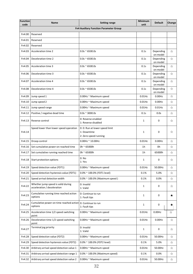| <b>Function</b><br>code | Name                                                                  | <b>Setting range</b>                                                   | Minimum<br>unit | <b>Default</b>        | Change |
|-------------------------|-----------------------------------------------------------------------|------------------------------------------------------------------------|-----------------|-----------------------|--------|
|                         |                                                                       | <b>Fn4 Auxiliary Function Parameter Group</b>                          |                 |                       |        |
| Fn4.00                  | Reserved                                                              |                                                                        |                 |                       |        |
| Fn4.01                  | Reserved                                                              |                                                                        |                 |                       |        |
| Fn4.02                  | Reserved                                                              |                                                                        |                 |                       |        |
| Fn4.03                  | Acceleration time 2                                                   | $0.0s \approx 6500.0s$                                                 | 0.1s            | Depending<br>on model | ☆      |
| Fn4.04                  | Deceleration time 2                                                   | $0.0s \approx 6500.0s$                                                 | 0.1s            | Depending<br>on model | ☆      |
| Fn4.05                  | Acceleration time 3                                                   | $0.0s \approx 6500.0s$                                                 | 0.1s            | Depending<br>on model | ☆      |
| Fn4.06                  | Deceleration time 3                                                   | $0.0s \approx 6500.0s$                                                 | 0.1s            | Depending<br>on model | ☆      |
| Fn4.07                  | Acceleration time 4                                                   | $0.0s \approx 6500.0s$                                                 | 0.1s            | Depending<br>on model | ☆      |
| Fn4.08                  | Deceleration time 4                                                   | $0.0s \approx 6500.0s$                                                 | 0.1s            | Depending<br>on model | ☆      |
| Fn4.09                  | Jump speed 1                                                          | 0.00Hz ~ Maximum speed                                                 | $0.01$ Hz       | $0.00$ Hz             | ☆      |
| Fn4.10                  | Jump speed 2                                                          | 0.00Hz ~ Maximum speed                                                 | $0.01$ Hz       | $0.00$ Hz             | ☆      |
| Fn4.11                  | Jump speed range                                                      | 0.00Hz ~ Maximum speed                                                 | $0.01$ Hz       | $0.01$ Hz             | ☆      |
| Fn4.12                  | Positive / negative dead time                                         | $0.0s \approx 3000.0s$                                                 | 0.1s            | 0.0s                  | ☆      |
| Fn4.13                  | Reverse control                                                       | 0: Reverse enabled<br>1: Reverse disabled                              | $\mathbf{1}$    | 0                     | ☆      |
| Fn4.14                  | Speed lower than lower speed operation                                | 0: 0: Run at lower speed limit<br>1: Downtime<br>2: Zero speed running | $\mathbf{1}$    | 0                     | ☆      |
| Fn4.15                  | Droop control                                                         | $0.00$ Hz ~ 10.00Hz                                                    | $0.01$ Hz       | 0.00Hz                | ☆      |
| Fn4.16                  | Set cumulative power-on reached time                                  | 0h ~ 65000h                                                            | 1h              | 0h                    | ☆      |
| Fn4.17                  | Set cumulative running reached time                                   | 0h ~ 65000h                                                            | 1h              | 65000h                | ☆      |
| Fn4.18                  | Start protection options                                              | 0: No<br>1: Yes                                                        | $\mathbf{1}$    | 0                     | ☆      |
| Fn4.19                  | Speed detection value (FDT1)                                          | 0.00Hz ~ Maximum speed                                                 | $0.01$ Hz       | 50.00Hz               | ☆      |
| Fn4.20                  | Speed detection hysteresis value (FDT1)                               | $0.0\%$ ~ 100.0% (FDT1 level)                                          | 0.1%            | 5.0%                  | ☆      |
| Fn4.21                  | Speed arrival detection width                                         | $0.0\%$ ~ 100.0% (Maximum speed)                                       | 0.1%            | 0.0%                  | ☆      |
| Fn4.22                  | Whether jump speed is valid during<br>acceleration / deceleration     | 0: Invalid<br>1: Valid                                                 | 1               | 0                     | ☆      |
| Fn4.23                  | Cumulative running time reached action<br>options                     | 0: Continue to run<br>1: Fault tips                                    | $\mathbf{1}$    | 0                     | ★      |
| Fn4.24                  | Cumulative power-on time reached action 0: Continue to run<br>options | 1: Fault tips                                                          | $\mathbf{1}$    | 0                     | ★      |
| Fn4.25                  | Acceleration time 1/2 speed switching                                 | 0.00Hz ~ Maximum speed                                                 | $0.01$ Hz       | $0.00$ Hz             | ☆      |
| Fn4.26                  | point<br>Deceleration time 1/2 speed switching<br>point               | 0.00Hz ~ Maximum speed                                                 | $0.01$ Hz       | 0.00Hz                | ☆      |
| Fn4.27                  | Terminal jog priority                                                 | 0: Invalid<br>1: Valid                                                 | 1               | 0                     | ☆      |
| Fn4.28                  | Speed detection value (FDT2)                                          | 0.00Hz ~ Maximum speed                                                 | $0.01$ Hz       | 50.00Hz               | ☆      |
| Fn4.29                  | Speed detection hysteresis value (FDT2)                               | 0.0% ~ 100.0% (FDT2 level)                                             | 0.1%            | 5.0%                  | ☆      |
| Fn4.30                  | Arbitrary arrival speed detection value 1                             | 0.00Hz ~ Maximum speed                                                 | $0.01$ Hz       | 50.00Hz               | ☆      |
| Fn4.31                  | Arbitrary arrival speed detection range 1                             | $0.0\%$ ~ 100.0% (Maximum speed)                                       | 0.1%            | 0.0%                  | ☆      |
| Fn4.32                  | Arbitrary arrival speed detection value 2                             | 0.00Hz ~ Maximum speed                                                 | $0.01$ Hz       | 50.00Hz               | ☆      |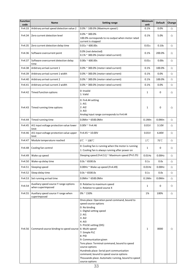| <b>Function</b><br>code | Name                                                        | <b>Setting range</b>                                                                                                                                                                                                                                                                                                                                                                                                                                           | Minimum<br>unit | <b>Default</b> | Change |
|-------------------------|-------------------------------------------------------------|----------------------------------------------------------------------------------------------------------------------------------------------------------------------------------------------------------------------------------------------------------------------------------------------------------------------------------------------------------------------------------------------------------------------------------------------------------------|-----------------|----------------|--------|
| Fn4.33                  | Arbitrary arrival speed detection value 2                   | $0.0\%$ ~ 100.0% (Maximum speed)                                                                                                                                                                                                                                                                                                                                                                                                                               | 0.1%            | 0.0%           | ☆      |
| Fn4.34                  | Zero current detection level                                | $0.0\%$ ~ 300.0%<br>100.0% corresponds to no output when motor rated<br>current is stopped                                                                                                                                                                                                                                                                                                                                                                     | 0.1%            | 5.0%           | ☆      |
| Fn4.35                  | Zero current detection delay time                           | $0.01s \approx 600.00s$                                                                                                                                                                                                                                                                                                                                                                                                                                        | 0.01s           | 0.10s          | ☆      |
| Fn4.36                  | Software overcurrent point                                  | 0.0% (not detected)<br>$0.1\%$ ~ 300.0% (motor rated current)                                                                                                                                                                                                                                                                                                                                                                                                  | 0.1%            | 200.0%         | ☆      |
| Fn4.37                  | Software overcurrent detection delay<br>time                | $0.00s \approx 600.00s$                                                                                                                                                                                                                                                                                                                                                                                                                                        | 0.01s           | 0.00s          | ☆      |
| Fn4.38                  | Arbitrary arrival current 1                                 | $0.0\%$ $\sim$ 300.0% (motor rated current)                                                                                                                                                                                                                                                                                                                                                                                                                    | 0.1%            | 100.0%         | ☆      |
| Fn4.39                  | Arbitrary arrival current 1 width                           | $0.0\%$ $\sim$ 300.0% (motor rated current)                                                                                                                                                                                                                                                                                                                                                                                                                    | 0.1%            | 0.0%           | ☆      |
| Fn4.40                  | Arbitrary arrival current 2                                 | $0.0\%$ $\sim$ 300.0% (motor rated current)                                                                                                                                                                                                                                                                                                                                                                                                                    | 0.1%            | 100.0%         | ☆      |
| Fn4.41                  | Arbitrary arrival current 2 width                           | $0.0\%$ $\sim$ 300.0% (motor rated current)                                                                                                                                                                                                                                                                                                                                                                                                                    | 0.1%            | 0.0%           | ☆      |
| Fn4.42                  | Timed function options                                      | 0: Invalid<br>1: Valid                                                                                                                                                                                                                                                                                                                                                                                                                                         | $\mathbf{1}$    | 0              | ☆      |
| Fn4.43                  | Timed running time options                                  | 0: Fn4.44 setting<br>1:AI1<br>2:AI2<br>3:AB<br>Analog input range corresponds to Fn4.44                                                                                                                                                                                                                                                                                                                                                                        | 1               | 0              | ☆      |
| Fn4.44                  | Timed running time                                          | $0.0$ Min ~ 6500.0Min                                                                                                                                                                                                                                                                                                                                                                                                                                          | $0.1$ Min       | 0.0Min         | ☆      |
| Fn4.45                  | AI1 input voltage protection value lower<br>limit           | $0.00V$ ~ Fn4.46                                                                                                                                                                                                                                                                                                                                                                                                                                               | 0.01V           | 3.10V          | ☆      |
| Fn4.46                  | Al1 input voltage protection value upper<br>limit           | $Fn4.45 \approx 10.00V$                                                                                                                                                                                                                                                                                                                                                                                                                                        | 0.01V           | 6.80V          | ☆      |
| Fn4.47                  | Module temperature reached                                  | $0^{\circ}$ ~ 100 $^{\circ}$ C                                                                                                                                                                                                                                                                                                                                                                                                                                 | $1^{\circ}$ C   | 75°C           | ☆      |
| Fn4.48                  | Cooling fan control                                         | 0: Cooling fan is running when the motor is running<br>1: Cooling fan is always running after power on                                                                                                                                                                                                                                                                                                                                                         | $\mathbf{1}$    | 0              | ☆      |
| Fn4.49                  | Wake up speed                                               | Sleeping speed (Fn4.51) ~ Maximum speed (Pn2.25)                                                                                                                                                                                                                                                                                                                                                                                                               | $0.01$ Hz       | $0.00$ Hz      | ☆      |
| Fn4.50                  | Wake-up delay time                                          | $0.0s \approx 6500.0s$                                                                                                                                                                                                                                                                                                                                                                                                                                         | 0.1s            | 0.0s           | ☆      |
| Fn4.51                  | Sleeping speed                                              | 0.00Hz ~ Wake up speed (Fn4.49)                                                                                                                                                                                                                                                                                                                                                                                                                                | $0.01$ Hz       | $0.00$ Hz      | ☆      |
| Fn4.52                  | Sleep delay time                                            | $0.0s \approx 6500.0s$                                                                                                                                                                                                                                                                                                                                                                                                                                         | 0.1s            | 0.0s           | ☆      |
| Fn4.53                  | Set running arrival time                                    | $0.0$ Min ~ 6500.0Min                                                                                                                                                                                                                                                                                                                                                                                                                                          | $0.1$ Min       | 0.0Min         | ☆      |
| Fn4.54                  | Auxiliary speed source Y range options<br>when superimposed | 0: Relative to maximum speed<br>1: Relative to speed source X                                                                                                                                                                                                                                                                                                                                                                                                  | $\mathbf{1}$    | 0              | ☆      |
| Fn4.55                  | Auxiliary speed source Y range when<br>superimposed         | $0\%$ ~ 150%                                                                                                                                                                                                                                                                                                                                                                                                                                                   | 1%              | 100%           | ☆      |
| Fn4.56                  | Command source binding to speed source   6: Multi-speed     | Ones place: Operation panel command, bound to<br>speed source options<br>0: No binding<br>1: Digital setting speed<br>2:AI1<br>3:AI2<br>4: AI3<br>5: PULSE setting (DI5)<br>7: Simple PLC<br>8: PID<br>9: Communication given<br>Tens place: Terminal command, bound to speed<br>source options<br>Hundreds place: Serial port communication<br>command, bound to speed source options<br>Thousands place: Automatic running, bound to speed<br>source options | 1               | 0000           | ☆      |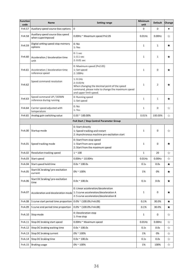| Function<br>code | Name                                                   | <b>Setting range</b>                                                                                                                                    | Minimum<br>unit | <b>Default</b> | Change    |
|------------------|--------------------------------------------------------|---------------------------------------------------------------------------------------------------------------------------------------------------------|-----------------|----------------|-----------|
| Fn4.57           | Auxiliary speed source bias options                    | $\mathsf 0$                                                                                                                                             | $\mathbf 0$     | $\mathsf 0$    | $\bullet$ |
| Fn4.58           | Auxiliary speed source bias speed<br>when superimposed | 0.00Hz ~ Maximum speed Pn2.05                                                                                                                           | $0.01$ Hz       | 0.00Hz         | ☆         |
| Fn4.59           | Digital setting speed stop memory<br>options           | 0: No<br>1: Yes                                                                                                                                         | $\,1\,$         | $\mathbf 1$    | *         |
| Fn4.60           | Acceleration / deceleration time<br>unit               | $0:1$ sec<br>$1:0.1$ sec<br>$2:0.01$ sec                                                                                                                | $\mathbf{1}$    | $\mathbf{1}$   | ★         |
| Fn4.61           | Acceleration / deceleration time<br>reference speed    | 0: Maximum speed (Pn2.05)<br>1: Set speed<br>2:100Hz                                                                                                    | $1\,$           | 0              | ★         |
| Fn4.62           | Speed command resolution                               | $1:0.1$ Hz<br>$2:0.01$ Hz<br>When changing the decimal point of the speed<br>command, please note to change the maximum speed<br>and upper limit speed. | $\mathbf 1$     | $\overline{2}$ | $\star$   |
| Fn4.63           | Speed command UP / DOWN<br>reference during running    | 0: Running speed<br>1: Set speed                                                                                                                        | $\mathbf{1}$    | $1\,$          | ★         |
| Fn4.64           | Carrier speed adjusted with<br>temperature             | 0: No<br>1:Yes                                                                                                                                          | $\mathbf{1}$    | $\mathbf{0}$   | ☆         |
| Fn4.65           | Analog gain switching value                            | $0.00 \, \text{^{\sim}}$ 100.00%                                                                                                                        | 0.01%           | 100.00%        | ☆         |
|                  |                                                        | FnA Start / Stop Control Parameter Group                                                                                                                |                 |                |           |
| FnA.00           | Startup mode                                           | 0: Start directly<br>1: Speed tracking and restart<br>2: Asynchronous machine pre-excitation start                                                      | $\mathbf{1}$    | 0              | ☆         |
| FnA.01           | Speed tracking mode                                    | 0: Start from stop speed<br>1: Start from zero speed<br>2: Start from the maximum speed                                                                 | $\mathbf{1}$    | $\mathsf 0$    | ★         |
| FnA.02           | Revolution tracking speed                              | $1~^{\sim}~100$                                                                                                                                         | $\mathbf 1$     | 20             | ☆         |
| FnA.03           | Start speed                                            | $0.00$ Hz ~ $10.00$ Hz                                                                                                                                  | $0.01$ Hz       | 0.00Hz         | ☆         |
| FnA.04           | Start speed hold time                                  | $0.0s \approx 100.0s$                                                                                                                                   | 0.1s            | 0.0s           | ★         |
| FnA.05           | Start DC braking/pre-excitation<br>current             | $0\%$ ~ 100%                                                                                                                                            | 1%              | 0%             | ★         |
| FnA.06           | Start DC braking/pre-excitation<br>time                | $0.0s \approx 100.0s$                                                                                                                                   | 0.1s            | 0.0s           | ★         |
| FnA.07           | Acceleration and deceleration mode                     | 0: Linear acceleration/deceleration<br>1: S curve acceleration/deceleration A<br>2: S curve acceleration/deceleration B                                 | $\mathbf{1}$    | 0              | ★         |
| <b>FnA.08</b>    | S curve start period time proportion                   | $0.0\%$ ~ (100.0%.FnA.09)                                                                                                                               | 0.1%            | 30.0%          | ★         |
| FnA.09           | S curve end period time proportion                     | $0.0\%$ ~ (100.0%.FnA.08)                                                                                                                               | 0.1%            | 30.0%          | ★         |
| FnA.10           | Stop mode                                              | 0: Deceleration stop<br>1: Free stop                                                                                                                    | $1\,$           | 0              | ☆         |
| FnA.11           | Stop DC braking start speed                            | 0.00Hz ~ Maximum speed                                                                                                                                  | $0.01$ Hz       | 0.00Hz         | ☆         |
| FnA.12           | Stop DC braking waiting time                           | $0.0s \approx 100.0s$                                                                                                                                   | 0.1s            | 0.0s           | ☆         |
| FnA.13           | Stop DC braking current                                | $0\%$ ~ 100%                                                                                                                                            | 1%              | 0%             | ☆         |
| FnA.14           | Stop DC braking time                                   | $0.0s \approx 100.0s$                                                                                                                                   | 0.1s            | 0.0s           | ☆         |
| FnA.15           | <b>Braking usage</b>                                   | $0\% \, \degree$ 100%                                                                                                                                   | 1%              | 100%           | ☆         |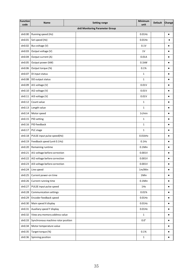| Function<br>code | Name                               | <b>Setting range</b>           | Minimum<br>unit | Default | Change    |
|------------------|------------------------------------|--------------------------------|-----------------|---------|-----------|
|                  |                                    | dn0 Monitoring Parameter Group |                 |         |           |
| dn0.00           | Running speed (Hz)                 |                                | $0.01$ Hz       |         | $\bullet$ |
| dn0.01           | Set speed (Hz)                     |                                | $0.01$ Hz       |         | $\bullet$ |
| dn0.02           | Bus voltage (V)                    |                                | 0.1V            |         | $\bullet$ |
| dn0.03           | Output voltage (V)                 |                                | 1V              |         | $\bullet$ |
| dn0.04           | Output current (A)                 |                                | 0.01A           |         | $\bullet$ |
| dn0.05           | Output power (kW)                  |                                | $0.1$ kW        |         | $\bullet$ |
| dn0.06           | Output torque (%)                  |                                | 0.1%            |         | $\bullet$ |
| dn0.07           | DI input status                    |                                | $\mathbf 1$     |         | $\bullet$ |
| dn0.08           | DO output status                   |                                | $\mathbf{1}$    |         | $\bullet$ |
| dn0.09           | AI1 voltage (V)                    |                                | 0.01V           |         | $\bullet$ |
| dn0.10           | AI2 voltage (V)                    |                                | 0.01V           |         | $\bullet$ |
| dn0.11           | AI3 voltage (V)                    |                                | 0.01V           |         | $\bullet$ |
| dn0.12           | Count value                        |                                | 1               |         | $\bullet$ |
| dn0.13           | Length value                       |                                | $\mathbf{1}$    |         | $\bullet$ |
| dn0.14           | Motor speed                        |                                | 1r/min          |         | $\bullet$ |
| dn0.15           | PID setting                        |                                | $\mathbf{1}$    |         | $\bullet$ |
| dn0.16           | PID feedback                       |                                | $\mathbf{1}$    |         | $\bullet$ |
| dn0.17           | PLC stage                          |                                | $\mathbf{1}$    |         | $\bullet$ |
| dn0.18           | PULSE input pulse speed(Hz)        |                                | $0.01$ kHz      |         | $\bullet$ |
| dn0.19           | Feedback speed (unit 0.1Hz)        |                                | $0.1$ Hz        |         | $\bullet$ |
| dn0.20           | Remaining runtime                  |                                | $0.1$ Min       |         | ٠         |
| dn0.21           | AI1 voltage before correction      |                                | 0.001V          |         | $\bullet$ |
| dn0.22           | AI2 voltage before correction      |                                | 0.001V          |         | $\bullet$ |
| dn0.23           | AI3 voltage before correction      |                                | 0.001V          |         | $\bullet$ |
| dn0.24           | Line speed                         |                                | 1m/Min          |         | $\bullet$ |
| dn0.25           | Current power-on time              |                                | 1Min            |         | $\bullet$ |
| dn0.26           | Current running time               |                                | $0.1$ Min       |         | $\bullet$ |
| dn0.27           | PULSE input pulse speed            |                                | 1Hz             |         | $\bullet$ |
| dn0.28           | Communication settings             |                                | 0.01%           |         | $\bullet$ |
| dn0.29           | Encoder feedback speed             |                                | $0.01$ Hz       |         | $\bullet$ |
| dn0.30           | Main speed X display               |                                | $0.01$ Hz       |         | $\bullet$ |
| dn0.31           | Auxiliary speed Y display          |                                | $0.01$ Hz       |         | $\bullet$ |
| dn0.32           | View any memory address value      |                                | $\mathbf 1$     |         | $\bullet$ |
| dn0.33           | Synchronous machine rotor position |                                | $0.0^\circ$     |         | $\bullet$ |
| dn0.34           | Motor temperature value            |                                |                 |         | $\bullet$ |
| dn0.35           | Target torque (%)                  |                                | 0.1%            |         | $\bullet$ |
| dn0.36           | Spinning position                  |                                | $\mathbf{1}$    |         | $\bullet$ |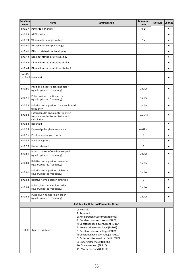| dn0.37<br>Power factor angle<br>dn0.38<br>ABZ location<br>dn0.39<br>VF separation target voltage<br>dn0.40<br>VF separation output voltage<br>dn0.41<br>DI input status intuitive display<br>dn0.42<br>DO input status intuitive display<br>dn0.43<br>DI function status intuitive display 1<br>dn0.44<br>DI function status intuitive display 2<br>dn0.45<br>$^{\circ}$ dn0.49<br>Reserved<br>Positioning control tracking error<br>dn0.50<br>(quadruplicated frequency)<br>Pulse position tracking error<br>dn0.51<br>(quadruplicated frequency)<br>dn0.52<br>Relative home position (quadruplicated<br>frequency)<br>External pulse given motor running<br>dn0.53<br>frequency (after transmission ratio<br>calculation)<br>dn0.54<br>Reserved<br>dn0.55<br>External pulse given frequency<br>dn0.56<br>Positioning complete signal<br>dn0.57<br>Positioning close<br>dn0.58<br>Home retrieved<br>Interval pulses of two home signals<br>dn0.59<br>(quadruplicated frequency)<br>Relative home position low order<br>dn0.60<br>(quadruplicated frequency)<br>Relative home position high order<br>dn0.61<br>(quadruplicated frequency)<br>dn0.62<br>Relative home position direction<br>Pulses given number low order<br>dn0.63<br>(quadruplicated frequency)<br>Pulse given number high order<br>dn0.64<br>(quadruplicated frequency)<br>En0 Last Fault Record Parameter Group<br>0: No fault<br>1: Reserved<br>2: Acceleration overcurrent (ERR02)<br>3: Deceleration overcurrent (ERR03)<br>4: Constant speed overcurrent (ERR04)<br>5: Acceleration overvoltage (ERR05) | Minimum<br>unit | <b>Default</b> | Change    |
|--------------------------------------------------------------------------------------------------------------------------------------------------------------------------------------------------------------------------------------------------------------------------------------------------------------------------------------------------------------------------------------------------------------------------------------------------------------------------------------------------------------------------------------------------------------------------------------------------------------------------------------------------------------------------------------------------------------------------------------------------------------------------------------------------------------------------------------------------------------------------------------------------------------------------------------------------------------------------------------------------------------------------------------------------------------------------------------------------------------------------------------------------------------------------------------------------------------------------------------------------------------------------------------------------------------------------------------------------------------------------------------------------------------------------------------------------------------------------------------------------------------------------------------------------------------------------------|-----------------|----------------|-----------|
|                                                                                                                                                                                                                                                                                                                                                                                                                                                                                                                                                                                                                                                                                                                                                                                                                                                                                                                                                                                                                                                                                                                                                                                                                                                                                                                                                                                                                                                                                                                                                                                | $0.1^\circ$     |                | ٠         |
|                                                                                                                                                                                                                                                                                                                                                                                                                                                                                                                                                                                                                                                                                                                                                                                                                                                                                                                                                                                                                                                                                                                                                                                                                                                                                                                                                                                                                                                                                                                                                                                |                 |                | $\bullet$ |
|                                                                                                                                                                                                                                                                                                                                                                                                                                                                                                                                                                                                                                                                                                                                                                                                                                                                                                                                                                                                                                                                                                                                                                                                                                                                                                                                                                                                                                                                                                                                                                                | $1\mathrm{V}$   |                | $\bullet$ |
|                                                                                                                                                                                                                                                                                                                                                                                                                                                                                                                                                                                                                                                                                                                                                                                                                                                                                                                                                                                                                                                                                                                                                                                                                                                                                                                                                                                                                                                                                                                                                                                | $1\mathrm{V}$   |                | ٠         |
|                                                                                                                                                                                                                                                                                                                                                                                                                                                                                                                                                                                                                                                                                                                                                                                                                                                                                                                                                                                                                                                                                                                                                                                                                                                                                                                                                                                                                                                                                                                                                                                |                 |                | $\bullet$ |
|                                                                                                                                                                                                                                                                                                                                                                                                                                                                                                                                                                                                                                                                                                                                                                                                                                                                                                                                                                                                                                                                                                                                                                                                                                                                                                                                                                                                                                                                                                                                                                                |                 |                | $\bullet$ |
|                                                                                                                                                                                                                                                                                                                                                                                                                                                                                                                                                                                                                                                                                                                                                                                                                                                                                                                                                                                                                                                                                                                                                                                                                                                                                                                                                                                                                                                                                                                                                                                |                 |                | $\bullet$ |
|                                                                                                                                                                                                                                                                                                                                                                                                                                                                                                                                                                                                                                                                                                                                                                                                                                                                                                                                                                                                                                                                                                                                                                                                                                                                                                                                                                                                                                                                                                                                                                                |                 |                | $\bullet$ |
|                                                                                                                                                                                                                                                                                                                                                                                                                                                                                                                                                                                                                                                                                                                                                                                                                                                                                                                                                                                                                                                                                                                                                                                                                                                                                                                                                                                                                                                                                                                                                                                |                 |                | ٠         |
|                                                                                                                                                                                                                                                                                                                                                                                                                                                                                                                                                                                                                                                                                                                                                                                                                                                                                                                                                                                                                                                                                                                                                                                                                                                                                                                                                                                                                                                                                                                                                                                | 1pulse          |                | $\bullet$ |
|                                                                                                                                                                                                                                                                                                                                                                                                                                                                                                                                                                                                                                                                                                                                                                                                                                                                                                                                                                                                                                                                                                                                                                                                                                                                                                                                                                                                                                                                                                                                                                                | 1pulse          |                | $\bullet$ |
|                                                                                                                                                                                                                                                                                                                                                                                                                                                                                                                                                                                                                                                                                                                                                                                                                                                                                                                                                                                                                                                                                                                                                                                                                                                                                                                                                                                                                                                                                                                                                                                | 1pulse          |                | $\bullet$ |
|                                                                                                                                                                                                                                                                                                                                                                                                                                                                                                                                                                                                                                                                                                                                                                                                                                                                                                                                                                                                                                                                                                                                                                                                                                                                                                                                                                                                                                                                                                                                                                                | $0.01$ Hz       |                | $\bullet$ |
|                                                                                                                                                                                                                                                                                                                                                                                                                                                                                                                                                                                                                                                                                                                                                                                                                                                                                                                                                                                                                                                                                                                                                                                                                                                                                                                                                                                                                                                                                                                                                                                |                 |                | $\bullet$ |
|                                                                                                                                                                                                                                                                                                                                                                                                                                                                                                                                                                                                                                                                                                                                                                                                                                                                                                                                                                                                                                                                                                                                                                                                                                                                                                                                                                                                                                                                                                                                                                                | $0.01$ kHz      |                | $\bullet$ |
|                                                                                                                                                                                                                                                                                                                                                                                                                                                                                                                                                                                                                                                                                                                                                                                                                                                                                                                                                                                                                                                                                                                                                                                                                                                                                                                                                                                                                                                                                                                                                                                | $\,1\,$         |                | $\bullet$ |
|                                                                                                                                                                                                                                                                                                                                                                                                                                                                                                                                                                                                                                                                                                                                                                                                                                                                                                                                                                                                                                                                                                                                                                                                                                                                                                                                                                                                                                                                                                                                                                                | $\mathbf{1}$    |                | $\bullet$ |
|                                                                                                                                                                                                                                                                                                                                                                                                                                                                                                                                                                                                                                                                                                                                                                                                                                                                                                                                                                                                                                                                                                                                                                                                                                                                                                                                                                                                                                                                                                                                                                                | $\mathbf 1$     |                | $\bullet$ |
|                                                                                                                                                                                                                                                                                                                                                                                                                                                                                                                                                                                                                                                                                                                                                                                                                                                                                                                                                                                                                                                                                                                                                                                                                                                                                                                                                                                                                                                                                                                                                                                | 1pulse          |                | ٠         |
|                                                                                                                                                                                                                                                                                                                                                                                                                                                                                                                                                                                                                                                                                                                                                                                                                                                                                                                                                                                                                                                                                                                                                                                                                                                                                                                                                                                                                                                                                                                                                                                | 1pulse          |                | $\bullet$ |
|                                                                                                                                                                                                                                                                                                                                                                                                                                                                                                                                                                                                                                                                                                                                                                                                                                                                                                                                                                                                                                                                                                                                                                                                                                                                                                                                                                                                                                                                                                                                                                                | 1pulse          |                | $\bullet$ |
|                                                                                                                                                                                                                                                                                                                                                                                                                                                                                                                                                                                                                                                                                                                                                                                                                                                                                                                                                                                                                                                                                                                                                                                                                                                                                                                                                                                                                                                                                                                                                                                | $\,1\,$         |                | $\bullet$ |
|                                                                                                                                                                                                                                                                                                                                                                                                                                                                                                                                                                                                                                                                                                                                                                                                                                                                                                                                                                                                                                                                                                                                                                                                                                                                                                                                                                                                                                                                                                                                                                                | 1pulse          |                | $\bullet$ |
|                                                                                                                                                                                                                                                                                                                                                                                                                                                                                                                                                                                                                                                                                                                                                                                                                                                                                                                                                                                                                                                                                                                                                                                                                                                                                                                                                                                                                                                                                                                                                                                | 1pulse          |                | ٠         |
|                                                                                                                                                                                                                                                                                                                                                                                                                                                                                                                                                                                                                                                                                                                                                                                                                                                                                                                                                                                                                                                                                                                                                                                                                                                                                                                                                                                                                                                                                                                                                                                |                 |                |           |
|                                                                                                                                                                                                                                                                                                                                                                                                                                                                                                                                                                                                                                                                                                                                                                                                                                                                                                                                                                                                                                                                                                                                                                                                                                                                                                                                                                                                                                                                                                                                                                                |                 |                |           |
| En0.00<br>Type of last fault<br>6: Deceleration overvoltage (ERR06)<br>7: Constant speed overvoltage (ERR07)<br>8: Buffer resistor overload fault (ERR08)<br>9: Undervoltage fault (ERR09)<br>10: Drive overload (ERR10)                                                                                                                                                                                                                                                                                                                                                                                                                                                                                                                                                                                                                                                                                                                                                                                                                                                                                                                                                                                                                                                                                                                                                                                                                                                                                                                                                       |                 |                | $\bullet$ |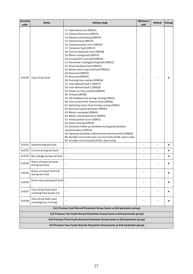| Function<br>code | Name                                                 | <b>Setting range</b>                                                                                                                                                                                                                                                                                                                                                                                                                                                                                                                                                                                                                                                                                                                                                                                                                                                                                                                                                                                                                                                                                                                                                                                                                                                            | Minimum<br>unit          | <b>Default</b>           | Change    |
|------------------|------------------------------------------------------|---------------------------------------------------------------------------------------------------------------------------------------------------------------------------------------------------------------------------------------------------------------------------------------------------------------------------------------------------------------------------------------------------------------------------------------------------------------------------------------------------------------------------------------------------------------------------------------------------------------------------------------------------------------------------------------------------------------------------------------------------------------------------------------------------------------------------------------------------------------------------------------------------------------------------------------------------------------------------------------------------------------------------------------------------------------------------------------------------------------------------------------------------------------------------------------------------------------------------------------------------------------------------------|--------------------------|--------------------------|-----------|
| En0.00           | Type of last fault                                   | 12: Input phase loss (ERR12)<br>13: Output phase loss (ERR13)<br>14: Module overheating (ERR14)<br>15: External fault (ERR15)<br>16: Communication error (ERR16)<br>17: Contactor fault (ERR17)<br>18: Current detection fault (ERR18)<br>19: Motor tuning fault (ERR19)<br>20: Encoder/PG card fault (ERR20)<br>21: Parameter reading/writing fault (ERR21)<br>22: Drive hardware fault (ERR22)<br>23: Motor short to ground fault (ERR23)<br>24: Reserved (ERR24)<br>25: Reserved (ERR25)<br>26: Running time reached (ERR26)<br>27: User-defined fault 1 (ERR27)<br>28: User-defined fault 2 (ERR28)<br>29: Power-on time reached (ERR29)<br>30: Unload (ERR30)<br>31: PID feedback lost during running (ERR31)<br>40: Fast current limit timeout fault (ERR40)<br>41: Switching motor fault during running (ERR41)<br>42: Excessive speed deviation (ERR42)<br>43: Motor overspeed (ERR43)<br>45: Motor overtemperature (ERR45)<br>51: Initial position error (ERR51)<br>54: Home missing (ERR54)<br>55: Excessive follow-up deviation during pulse position<br>synchronization (ERR55)<br>56: Excessive deviation indirectional control position (ERR56)<br>90: Number of encoder lines set incorrectly (Fn90, alarm only)<br>91: Encoder not connected (Fn91, alarm only) |                          |                          |           |
| En0.01           | Speed during last fault                              | $\qquad \qquad -$                                                                                                                                                                                                                                                                                                                                                                                                                                                                                                                                                                                                                                                                                                                                                                                                                                                                                                                                                                                                                                                                                                                                                                                                                                                               | $\overline{\phantom{0}}$ | $\overline{\phantom{0}}$ | $\bullet$ |
| En0.02           | Current during last fault                            |                                                                                                                                                                                                                                                                                                                                                                                                                                                                                                                                                                                                                                                                                                                                                                                                                                                                                                                                                                                                                                                                                                                                                                                                                                                                                 | -                        | $\overline{\phantom{a}}$ | $\bullet$ |
| En0.03           | Bus voltage during last fault                        | $\overline{\phantom{0}}$                                                                                                                                                                                                                                                                                                                                                                                                                                                                                                                                                                                                                                                                                                                                                                                                                                                                                                                                                                                                                                                                                                                                                                                                                                                        |                          | $\overline{\phantom{a}}$ | $\bullet$ |
| En0.04           | Status of input terminal<br>during last fault        | $\overline{\phantom{0}}$                                                                                                                                                                                                                                                                                                                                                                                                                                                                                                                                                                                                                                                                                                                                                                                                                                                                                                                                                                                                                                                                                                                                                                                                                                                        |                          |                          | $\bullet$ |
| En0.05           | Status of output terminal<br>during last fault       |                                                                                                                                                                                                                                                                                                                                                                                                                                                                                                                                                                                                                                                                                                                                                                                                                                                                                                                                                                                                                                                                                                                                                                                                                                                                                 |                          |                          | $\bullet$ |
| En0.06           | Drive status during last fault                       |                                                                                                                                                                                                                                                                                                                                                                                                                                                                                                                                                                                                                                                                                                                                                                                                                                                                                                                                                                                                                                                                                                                                                                                                                                                                                 |                          |                          | $\bullet$ |
| En0.07           | Time of last fault (start<br>counting from power-on) | -                                                                                                                                                                                                                                                                                                                                                                                                                                                                                                                                                                                                                                                                                                                                                                                                                                                                                                                                                                                                                                                                                                                                                                                                                                                                               |                          |                          | $\bullet$ |
| En0.08           | Time of last fault (start<br>counting from running)  | $\overline{\phantom{0}}$                                                                                                                                                                                                                                                                                                                                                                                                                                                                                                                                                                                                                                                                                                                                                                                                                                                                                                                                                                                                                                                                                                                                                                                                                                                        |                          |                          | $\bullet$ |
|                  |                                                      | En1 Previous Fault Record Parameter Group (same as En0 parameter group)                                                                                                                                                                                                                                                                                                                                                                                                                                                                                                                                                                                                                                                                                                                                                                                                                                                                                                                                                                                                                                                                                                                                                                                                         |                          |                          |           |
|                  |                                                      | En2 Previous Two Faults Record Parameter Group (same as En0 parameter group)                                                                                                                                                                                                                                                                                                                                                                                                                                                                                                                                                                                                                                                                                                                                                                                                                                                                                                                                                                                                                                                                                                                                                                                                    |                          |                          |           |
|                  |                                                      | En3 Previous Three Faults Records Parameter Group (same as En0 parameter group)                                                                                                                                                                                                                                                                                                                                                                                                                                                                                                                                                                                                                                                                                                                                                                                                                                                                                                                                                                                                                                                                                                                                                                                                 |                          |                          |           |
|                  |                                                      | En4 Previous Four Faults Records Parameter Group (same as En0 parameter group)                                                                                                                                                                                                                                                                                                                                                                                                                                                                                                                                                                                                                                                                                                                                                                                                                                                                                                                                                                                                                                                                                                                                                                                                  |                          |                          |           |
|                  |                                                      |                                                                                                                                                                                                                                                                                                                                                                                                                                                                                                                                                                                                                                                                                                                                                                                                                                                                                                                                                                                                                                                                                                                                                                                                                                                                                 |                          |                          |           |